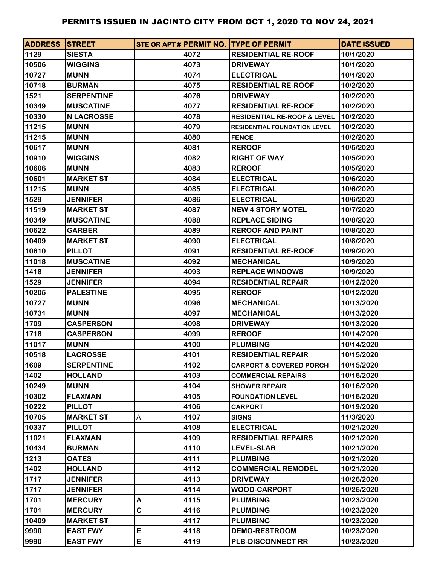| <b>ADDRESS STREET</b> |                   |   |      | STE OR APT # PERMIT NO. TYPE OF PERMIT | <b>DATE ISSUED</b> |
|-----------------------|-------------------|---|------|----------------------------------------|--------------------|
| 1129                  | <b>SIESTA</b>     |   | 4072 | <b>RESIDENTIAL RE-ROOF</b>             | 10/1/2020          |
| 10506                 | <b>WIGGINS</b>    |   | 4073 | <b>DRIVEWAY</b>                        | 10/1/2020          |
| 10727                 | <b>MUNN</b>       |   | 4074 | <b>ELECTRICAL</b>                      | 10/1/2020          |
| 10718                 | <b>BURMAN</b>     |   | 4075 | <b>RESIDENTIAL RE-ROOF</b>             | 10/2/2020          |
| 1521                  | <b>SERPENTINE</b> |   | 4076 | <b>DRIVEWAY</b>                        | 10/2/2020          |
| 10349                 | <b>MUSCATINE</b>  |   | 4077 | <b>RESIDENTIAL RE-ROOF</b>             | 10/2/2020          |
| 10330                 | <b>N LACROSSE</b> |   | 4078 | <b>RESIDENTIAL RE-ROOF &amp; LEVEL</b> | 10/2/2020          |
| 11215                 | <b>MUNN</b>       |   | 4079 | <b>RESIDENTIAL FOUNDATION LEVEL</b>    | 10/2/2020          |
| 11215                 | <b>MUNN</b>       |   | 4080 | <b>FENCE</b>                           | 10/2/2020          |
| 10617                 | <b>MUNN</b>       |   | 4081 | <b>REROOF</b>                          | 10/5/2020          |
| 10910                 | <b>WIGGINS</b>    |   | 4082 | <b>RIGHT OF WAY</b>                    | 10/5/2020          |
| 10606                 | <b>MUNN</b>       |   | 4083 | <b>REROOF</b>                          | 10/5/2020          |
| 10601                 | <b>MARKET ST</b>  |   | 4084 | <b>ELECTRICAL</b>                      | 10/6/2020          |
| 11215                 | <b>MUNN</b>       |   | 4085 | <b>ELECTRICAL</b>                      | 10/6/2020          |
| 1529                  | <b>JENNIFER</b>   |   | 4086 | <b>ELECTRICAL</b>                      | 10/6/2020          |
| 11519                 | <b>MARKET ST</b>  |   | 4087 | <b>NEW 4 STORY MOTEL</b>               | 10/7/2020          |
| 10349                 | <b>MUSCATINE</b>  |   | 4088 | <b>REPLACE SIDING</b>                  | 10/8/2020          |
| 10622                 | <b>GARBER</b>     |   | 4089 | <b>REROOF AND PAINT</b>                | 10/8/2020          |
| 10409                 | <b>MARKET ST</b>  |   | 4090 | <b>ELECTRICAL</b>                      | 10/8/2020          |
| 10610                 | <b>PILLOT</b>     |   | 4091 | <b>RESIDENTIAL RE-ROOF</b>             | 10/9/2020          |
| 11018                 | <b>MUSCATINE</b>  |   | 4092 | <b>MECHANICAL</b>                      | 10/9/2020          |
| 1418                  | <b>JENNIFER</b>   |   | 4093 | <b>REPLACE WINDOWS</b>                 | 10/9/2020          |
| 1529                  | <b>JENNIFER</b>   |   | 4094 | <b>RESIDENTIAL REPAIR</b>              | 10/12/2020         |
| 10205                 | <b>PALESTINE</b>  |   | 4095 | <b>REROOF</b>                          | 10/12/2020         |
| 10727                 | <b>MUNN</b>       |   | 4096 | <b>MECHANICAL</b>                      | 10/13/2020         |
| 10731                 | <b>MUNN</b>       |   | 4097 | <b>MECHANICAL</b>                      | 10/13/2020         |
| 1709                  | <b>CASPERSON</b>  |   | 4098 | <b>DRIVEWAY</b>                        | 10/13/2020         |
| 1718                  | <b>CASPERSON</b>  |   | 4099 | <b>REROOF</b>                          | 10/14/2020         |
| 11017                 | <b>MUNN</b>       |   | 4100 | <b>PLUMBING</b>                        | 10/14/2020         |
| 10518                 | <b>LACROSSE</b>   |   | 4101 | <b>RESIDENTIAL REPAIR</b>              | 10/15/2020         |
| 1609                  | <b>SERPENTINE</b> |   | 4102 | <b>CARPORT &amp; COVERED PORCH</b>     | 10/15/2020         |
| 1402                  | <b>HOLLAND</b>    |   | 4103 | <b>COMMERCIAL REPAIRS</b>              | 10/16/2020         |
| 10249                 | <b>MUNN</b>       |   | 4104 | <b>SHOWER REPAIR</b>                   | 10/16/2020         |
| 10302                 | <b>FLAXMAN</b>    |   | 4105 | <b>FOUNDATION LEVEL</b>                | 10/16/2020         |
| 10222                 | <b>PILLOT</b>     |   | 4106 | <b>CARPORT</b>                         | 10/19/2020         |
| 10705                 | <b>MARKET ST</b>  | Α | 4107 | <b>SIGNS</b>                           | 11/3/2020          |
| 10337                 | <b>PILLOT</b>     |   | 4108 | <b>ELECTRICAL</b>                      | 10/21/2020         |
| 11021                 | <b>FLAXMAN</b>    |   | 4109 | <b>RESIDENTIAL REPAIRS</b>             | 10/21/2020         |
| 10434                 | <b>BURMAN</b>     |   | 4110 | <b>LEVEL-SLAB</b>                      | 10/21/2020         |
| 1213                  | <b>OATES</b>      |   | 4111 | <b>PLUMBING</b>                        | 10/21/2020         |
| 1402                  | <b>HOLLAND</b>    |   | 4112 | <b>COMMERCIAL REMODEL</b>              | 10/21/2020         |
| 1717                  | <b>JENNIFER</b>   |   | 4113 | <b>DRIVEWAY</b>                        | 10/26/2020         |
| 1717                  | <b>JENNIFER</b>   |   | 4114 | <b>WOOD-CARPORT</b>                    | 10/26/2020         |
| 1701                  | <b>MERCURY</b>    | Α | 4115 | <b>PLUMBING</b>                        | 10/23/2020         |
| 1701                  | <b>MERCURY</b>    | C | 4116 | <b>PLUMBING</b>                        | 10/23/2020         |
| 10409                 | <b>MARKET ST</b>  |   | 4117 | <b>PLUMBING</b>                        | 10/23/2020         |
| 9990                  | <b>EAST FWY</b>   | E | 4118 | <b>DEMO-RESTROOM</b>                   | 10/23/2020         |
| 9990                  | <b>EAST FWY</b>   | E | 4119 | <b>PLB-DISCONNECT RR</b>               | 10/23/2020         |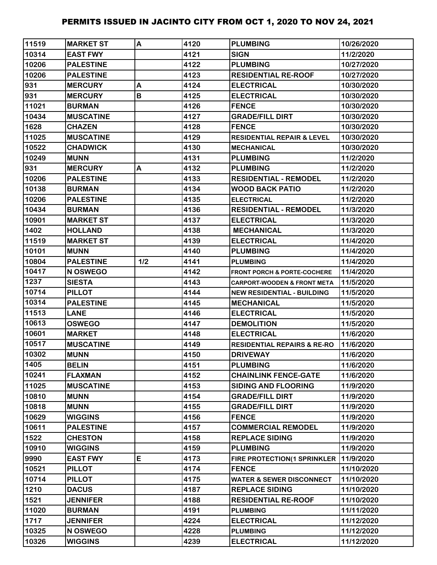| 11519          | <b>MARKET ST</b>               | A   | 4120         | <b>PLUMBING</b>                                              | 10/26/2020               |
|----------------|--------------------------------|-----|--------------|--------------------------------------------------------------|--------------------------|
| 10314          | <b>EAST FWY</b>                |     | 4121         | <b>SIGN</b>                                                  | 11/2/2020                |
| 10206          | <b>PALESTINE</b>               |     | 4122         | <b>PLUMBING</b>                                              | 10/27/2020               |
| 10206          | <b>PALESTINE</b>               |     | 4123         | <b>RESIDENTIAL RE-ROOF</b>                                   | 10/27/2020               |
| 931            | <b>MERCURY</b>                 | A   | 4124         | <b>ELECTRICAL</b>                                            | 10/30/2020               |
| 931            | <b>MERCURY</b>                 | B   | 4125         | <b>ELECTRICAL</b>                                            | 10/30/2020               |
| 11021          | <b>BURMAN</b>                  |     | 4126         | <b>FENCE</b>                                                 | 10/30/2020               |
| 10434          | <b>MUSCATINE</b>               |     | 4127         | <b>GRADE/FILL DIRT</b>                                       | 10/30/2020               |
| 1628           | <b>CHAZEN</b>                  |     | 4128         | <b>FENCE</b>                                                 | 10/30/2020               |
| 11025          | <b>MUSCATINE</b>               |     | 4129         | <b>RESIDENTIAL REPAIR &amp; LEVEL</b>                        | 10/30/2020               |
| 10522          | <b>CHADWICK</b>                |     | 4130         | <b>MECHANICAL</b>                                            | 10/30/2020               |
| 10249          | <b>MUNN</b>                    |     | 4131         | <b>PLUMBING</b>                                              | 11/2/2020                |
| 931            | <b>MERCURY</b>                 | A   | 4132         | <b>PLUMBING</b>                                              | 11/2/2020                |
| 10206          | <b>PALESTINE</b>               |     | 4133         | <b>RESIDENTIAL - REMODEL</b>                                 | 11/2/2020                |
| 10138          | <b>BURMAN</b>                  |     | 4134         | <b>WOOD BACK PATIO</b>                                       | 11/2/2020                |
| 10206          | <b>PALESTINE</b>               |     | 4135         | <b>ELECTRICAL</b>                                            | 11/2/2020                |
| 10434          | <b>BURMAN</b>                  |     | 4136         | <b>RESIDENTIAL - REMODEL</b>                                 | 11/3/2020                |
| 10901          | <b>MARKET ST</b>               |     | 4137         | <b>ELECTRICAL</b>                                            | 11/3/2020                |
| 1402           | <b>HOLLAND</b>                 |     | 4138         | <b>MECHANICAL</b>                                            | 11/3/2020                |
| 11519          | <b>MARKET ST</b>               |     | 4139         | <b>ELECTRICAL</b>                                            | 11/4/2020                |
| 10101          | <b>MUNN</b>                    |     | 4140         | <b>PLUMBING</b>                                              | 11/4/2020                |
| 10804          | <b>PALESTINE</b>               | 1/2 | 4141         | <b>PLUMBING</b>                                              | 11/4/2020                |
| 10417          | <b>N OSWEGO</b>                |     | 4142         | <b>FRONT PORCH &amp; PORTE-COCHERE</b>                       | 11/4/2020                |
| 1237           | <b>SIESTA</b>                  |     | 4143         | CARPORT-WOODEN & FRONT META                                  | 11/5/2020                |
| 10714          | <b>PILLOT</b>                  |     | 4144         | <b>NEW RESIDENTIAL - BUILDING</b>                            | 11/5/2020                |
| 10314          | <b>PALESTINE</b>               |     | 4145         | <b>MECHANICAL</b>                                            | 11/5/2020                |
| 11513          | <b>LANE</b>                    |     | 4146         | <b>ELECTRICAL</b>                                            | 11/5/2020                |
| 10613          | <b>OSWEGO</b>                  |     | 4147         | <b>DEMOLITION</b>                                            | 11/5/2020                |
| 10601          | <b>MARKET</b>                  |     | 4148         | <b>ELECTRICAL</b>                                            | 11/6/2020                |
| 10517          | <b>MUSCATINE</b>               |     | 4149         | <b>RESIDENTIAL REPAIRS &amp; RE-RO</b>                       | 11/6/2020                |
| 10302          | <b>MUNN</b>                    |     | 4150         | <b>DRIVEWAY</b>                                              | 11/6/2020                |
| 1405           | <b>BELIN</b>                   |     | 4151         | <b>PLUMBING</b>                                              | 11/6/2020                |
| 10241          | <b>FLAXMAN</b>                 |     | 4152         | <b>CHAINLINK FENCE-GATE</b>                                  | 11/6/2020                |
| 11025          | <b>MUSCATINE</b>               |     | 4153         | <b>SIDING AND FLOORING</b>                                   | 11/9/2020                |
| 10810          | <b>MUNN</b>                    |     | 4154         | <b>GRADE/FILL DIRT</b>                                       | 11/9/2020                |
| 10818          | <b>MUNN</b>                    |     | 4155         | <b>GRADE/FILL DIRT</b>                                       | 11/9/2020                |
| 10629          | <b>WIGGINS</b>                 |     | 4156         | <b>FENCE</b>                                                 | 11/9/2020                |
| 10611          | <b>PALESTINE</b>               |     | 4157         | <b>COMMERCIAL REMODEL</b>                                    | 11/9/2020                |
| 1522           | <b>CHESTON</b>                 |     | 4158         | <b>REPLACE SIDING</b>                                        | 11/9/2020                |
| 10910<br>9990  | <b>WIGGINS</b>                 | E   | 4159         | <b>PLUMBING</b>                                              | 11/9/2020                |
|                | <b>EAST FWY</b>                |     | 4173<br>4174 | FIRE PROTECTION(1 SPRINKLER                                  | 11/9/2020                |
| 10521<br>10714 | <b>PILLOT</b><br><b>PILLOT</b> |     | 4175         | <b>FENCE</b>                                                 | 11/10/2020<br>11/10/2020 |
| 1210           | <b>DACUS</b>                   |     | 4187         | <b>WATER &amp; SEWER DISCONNECT</b><br><b>REPLACE SIDING</b> | 11/10/2020               |
| 1521           | <b>JENNIFER</b>                |     | 4188         | <b>RESIDENTIAL RE-ROOF</b>                                   | 11/10/2020               |
| 11020          | <b>BURMAN</b>                  |     | 4191         | <b>PLUMBING</b>                                              | 11/11/2020               |
| 1717           | <b>JENNIFER</b>                |     | 4224         | <b>ELECTRICAL</b>                                            | 11/12/2020               |
| 10325          | N OSWEGO                       |     | 4228         | <b>PLUMBING</b>                                              | 11/12/2020               |
| 10326          | <b>WIGGINS</b>                 |     | 4239         | <b>ELECTRICAL</b>                                            | 11/12/2020               |
|                |                                |     |              |                                                              |                          |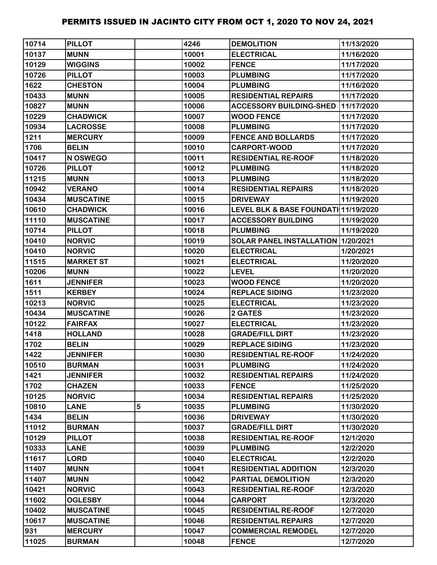| 10714 | <b>PILLOT</b>    |   | 4246  | <b>DEMOLITION</b>                    | 11/13/2020 |
|-------|------------------|---|-------|--------------------------------------|------------|
| 10137 | <b>MUNN</b>      |   | 10001 | <b>ELECTRICAL</b>                    | 11/16/2020 |
| 10129 | <b>WIGGINS</b>   |   | 10002 | <b>FENCE</b>                         | 11/17/2020 |
| 10726 | <b>PILLOT</b>    |   | 10003 | <b>PLUMBING</b>                      | 11/17/2020 |
| 1622  | <b>CHESTON</b>   |   | 10004 | <b>PLUMBING</b>                      | 11/16/2020 |
| 10433 | <b>MUNN</b>      |   | 10005 | <b>RESIDENTIAL REPAIRS</b>           | 11/17/2020 |
| 10827 | <b>MUNN</b>      |   | 10006 | <b>ACCESSORY BUILDING-SHED</b>       | 11/17/2020 |
| 10229 | <b>CHADWICK</b>  |   | 10007 | <b>WOOD FENCE</b>                    | 11/17/2020 |
| 10934 | <b>LACROSSE</b>  |   | 10008 | <b>PLUMBING</b>                      | 11/17/2020 |
| 1211  | <b>MERCURY</b>   |   | 10009 | <b>FENCE AND BOLLARDS</b>            | 11/17/2020 |
| 1706  | <b>BELIN</b>     |   | 10010 | <b>CARPORT-WOOD</b>                  | 11/17/2020 |
| 10417 | N OSWEGO         |   | 10011 | <b>RESIDENTIAL RE-ROOF</b>           | 11/18/2020 |
| 10726 | <b>PILLOT</b>    |   | 10012 | <b>PLUMBING</b>                      | 11/18/2020 |
| 11215 | <b>MUNN</b>      |   | 10013 | <b>PLUMBING</b>                      | 11/18/2020 |
| 10942 | <b>VERANO</b>    |   | 10014 | <b>RESIDENTIAL REPAIRS</b>           | 11/18/2020 |
| 10434 | <b>MUSCATINE</b> |   | 10015 | <b>DRIVEWAY</b>                      | 11/19/2020 |
| 10610 | <b>CHADWICK</b>  |   | 10016 | LEVEL BLK & BASE FOUNDATI 11/19/2020 |            |
| 11110 | <b>MUSCATINE</b> |   | 10017 | <b>ACCESSORY BUILDING</b>            | 11/19/2020 |
| 10714 | <b>PILLOT</b>    |   | 10018 | <b>PLUMBING</b>                      | 11/19/2020 |
| 10410 | <b>NORVIC</b>    |   | 10019 | SOLAR PANEL INSTALLATION 1/20/2021   |            |
| 10410 | <b>NORVIC</b>    |   | 10020 | <b>ELECTRICAL</b>                    | 1/20/2021  |
| 11515 | <b>MARKET ST</b> |   | 10021 | <b>ELECTRICAL</b>                    | 11/20/2020 |
| 10206 | <b>MUNN</b>      |   | 10022 | <b>LEVEL</b>                         | 11/20/2020 |
| 1611  | <b>JENNIFER</b>  |   | 10023 | <b>WOOD FENCE</b>                    | 11/20/2020 |
| 1511  | <b>KERBEY</b>    |   | 10024 | <b>REPLACE SIDING</b>                | 11/23/2020 |
| 10213 | <b>NORVIC</b>    |   | 10025 | <b>ELECTRICAL</b>                    | 11/23/2020 |
| 10434 | <b>MUSCATINE</b> |   | 10026 | 2 GATES                              | 11/23/2020 |
| 10122 | <b>FAIRFAX</b>   |   | 10027 | <b>ELECTRICAL</b>                    | 11/23/2020 |
| 1418  | <b>HOLLAND</b>   |   | 10028 | <b>GRADE/FILL DIRT</b>               | 11/23/2020 |
| 1702  | <b>BELIN</b>     |   | 10029 | <b>REPLACE SIDING</b>                | 11/23/2020 |
| 1422  | <b>JENNIFER</b>  |   | 10030 | <b>RESIDENTIAL RE-ROOF</b>           | 11/24/2020 |
| 10510 | <b>BURMAN</b>    |   | 10031 | <b>PLUMBING</b>                      | 11/24/2020 |
| 1421  | <b>JENNIFER</b>  |   | 10032 | <b>RESIDENTIAL REPAIRS</b>           | 11/24/2020 |
| 1702  | <b>CHAZEN</b>    |   | 10033 | <b>FENCE</b>                         | 11/25/2020 |
| 10125 | <b>NORVIC</b>    |   | 10034 | <b>RESIDENTIAL REPAIRS</b>           | 11/25/2020 |
| 10810 | <b>LANE</b>      | 5 | 10035 | <b>PLUMBING</b>                      | 11/30/2020 |
| 1434  | <b>BELIN</b>     |   | 10036 | <b>DRIVEWAY</b>                      | 11/30/2020 |
| 11012 | <b>BURMAN</b>    |   | 10037 | <b>GRADE/FILL DIRT</b>               | 11/30/2020 |
| 10129 | <b>PILLOT</b>    |   | 10038 | <b>RESIDENTIAL RE-ROOF</b>           | 12/1/2020  |
| 10333 | <b>LANE</b>      |   | 10039 | <b>PLUMBING</b>                      | 12/2/2020  |
| 11617 | <b>LORD</b>      |   | 10040 | <b>ELECTRICAL</b>                    | 12/2/2020  |
| 11407 | <b>MUNN</b>      |   | 10041 | <b>RESIDENTIAL ADDITION</b>          | 12/3/2020  |
| 11407 | <b>MUNN</b>      |   | 10042 | PARTIAL DEMOLITION                   | 12/3/2020  |
| 10421 | <b>NORVIC</b>    |   | 10043 | <b>RESIDENTIAL RE-ROOF</b>           | 12/3/2020  |
| 11602 | <b>OGLESBY</b>   |   | 10044 | <b>CARPORT</b>                       | 12/3/2020  |
| 10402 | <b>MUSCATINE</b> |   | 10045 | <b>RESIDENTIAL RE-ROOF</b>           | 12/7/2020  |
| 10617 | <b>MUSCATINE</b> |   | 10046 | <b>RESIDENTIAL REPAIRS</b>           | 12/7/2020  |
| 931   | <b>MERCURY</b>   |   | 10047 | <b>COMMERCIAL REMODEL</b>            | 12/7/2020  |
| 11025 | <b>BURMAN</b>    |   | 10048 | <b>FENCE</b>                         | 12/7/2020  |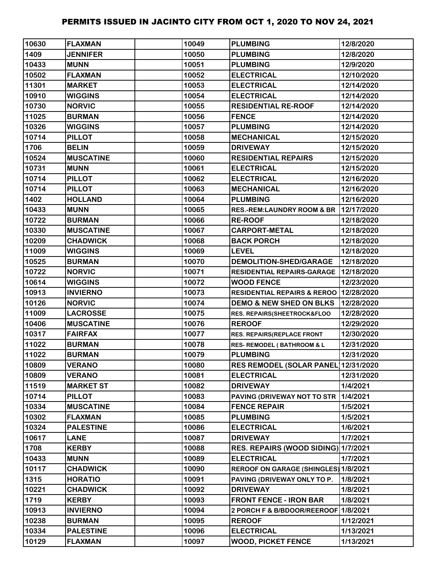| 10630 | <b>FLAXMAN</b>   | 10049 | <b>PLUMBING</b>                        | 12/8/2020  |
|-------|------------------|-------|----------------------------------------|------------|
| 1409  | <b>JENNIFER</b>  | 10050 | <b>PLUMBING</b>                        | 12/8/2020  |
| 10433 | <b>MUNN</b>      | 10051 | <b>PLUMBING</b>                        | 12/9/2020  |
| 10502 | <b>FLAXMAN</b>   | 10052 | <b>ELECTRICAL</b>                      | 12/10/2020 |
| 11301 | <b>MARKET</b>    | 10053 | <b>ELECTRICAL</b>                      | 12/14/2020 |
| 10910 | <b>WIGGINS</b>   | 10054 | <b>ELECTRICAL</b>                      | 12/14/2020 |
| 10730 | <b>NORVIC</b>    | 10055 | <b>RESIDENTIAL RE-ROOF</b>             | 12/14/2020 |
| 11025 | <b>BURMAN</b>    | 10056 | <b>FENCE</b>                           | 12/14/2020 |
| 10326 | <b>WIGGINS</b>   | 10057 | <b>PLUMBING</b>                        | 12/14/2020 |
| 10714 | <b>PILLOT</b>    | 10058 | <b>MECHANICAL</b>                      | 12/15/2020 |
| 1706  | <b>BELIN</b>     | 10059 | <b>DRIVEWAY</b>                        | 12/15/2020 |
| 10524 | <b>MUSCATINE</b> | 10060 | <b>RESIDENTIAL REPAIRS</b>             | 12/15/2020 |
| 10731 | <b>MUNN</b>      | 10061 | <b>ELECTRICAL</b>                      | 12/15/2020 |
| 10714 | <b>PILLOT</b>    | 10062 | <b>ELECTRICAL</b>                      | 12/16/2020 |
| 10714 | <b>PILLOT</b>    | 10063 | <b>MECHANICAL</b>                      | 12/16/2020 |
| 1402  | <b>HOLLAND</b>   | 10064 | <b>PLUMBING</b>                        | 12/16/2020 |
| 10433 | <b>MUNN</b>      | 10065 | <b>RES.-REM:LAUNDRY ROOM &amp; BR</b>  | 12/17/2020 |
| 10722 | <b>BURMAN</b>    | 10066 | <b>RE-ROOF</b>                         | 12/18/2020 |
| 10330 | <b>MUSCATINE</b> | 10067 | <b>CARPORT-METAL</b>                   | 12/18/2020 |
| 10209 | <b>CHADWICK</b>  | 10068 | <b>BACK PORCH</b>                      | 12/18/2020 |
| 11009 | <b>WIGGINS</b>   | 10069 | <b>LEVEL</b>                           | 12/18/2020 |
| 10525 | <b>BURMAN</b>    | 10070 | DEMOLITION-SHED/GARAGE                 | 12/18/2020 |
| 10722 | <b>NORVIC</b>    | 10071 | RESIDENTIAL REPAIRS-GARAGE             | 12/18/2020 |
| 10614 | <b>WIGGINS</b>   | 10072 | <b>WOOD FENCE</b>                      | 12/23/2020 |
| 10913 | <b>INVIERNO</b>  | 10073 | <b>RESIDENTIAL REPAIRS &amp; REROO</b> | 12/28/2020 |
| 10126 | <b>NORVIC</b>    | 10074 | <b>DEMO &amp; NEW SHED ON BLKS</b>     | 12/28/2020 |
| 11009 | <b>LACROSSE</b>  | 10075 | RES. REPAIRS(SHEETROCK&FLOO            | 12/28/2020 |
| 10406 | <b>MUSCATINE</b> | 10076 | <b>REROOF</b>                          | 12/29/2020 |
| 10317 | <b>FAIRFAX</b>   | 10077 | <b>RES. REPAIRS(REPLACE FRONT</b>      | 12/30/2020 |
| 11022 | <b>BURMAN</b>    | 10078 | <b>RES- REMODEL (BATHROOM &amp; L</b>  | 12/31/2020 |
| 11022 | <b>BURMAN</b>    | 10079 | <b>PLUMBING</b>                        | 12/31/2020 |
| 10809 | <b>VERANO</b>    | 10080 | <b>RES REMODEL (SOLAR PANEL</b>        | 12/31/2020 |
| 10809 | <b>VERANO</b>    | 10081 | <b>ELECTRICAL</b>                      | 12/31/2020 |
| 11519 | <b>MARKET ST</b> | 10082 | <b>DRIVEWAY</b>                        | 1/4/2021   |
| 10714 | <b>PILLOT</b>    | 10083 | PAVING (DRIVEWAY NOT TO STR            | 1/4/2021   |
| 10334 | <b>MUSCATINE</b> | 10084 | <b>FENCE REPAIR</b>                    | 1/5/2021   |
| 10302 | <b>FLAXMAN</b>   | 10085 | <b>PLUMBING</b>                        | 1/5/2021   |
| 10324 | <b>PALESTINE</b> | 10086 | <b>ELECTRICAL</b>                      | 1/6/2021   |
| 10617 | <b>LANE</b>      | 10087 | <b>DRIVEWAY</b>                        | 1/7/2021   |
| 1708  | <b>KERBY</b>     | 10088 | RES. REPAIRS (WOOD SIDING) 1/7/2021    |            |
| 10433 | <b>MUNN</b>      | 10089 | <b>ELECTRICAL</b>                      | 1/7/2021   |
| 10117 | <b>CHADWICK</b>  | 10090 | REROOF ON GARAGE (SHINGLES) 1/8/2021   |            |
| 1315  | <b>HORATIO</b>   | 10091 | PAVING (DRIVEWAY ONLY TO P.            | 1/8/2021   |
| 10221 | <b>CHADWICK</b>  | 10092 | <b>DRIVEWAY</b>                        | 1/8/2021   |
| 1719  | <b>KERBY</b>     | 10093 | <b>FRONT FENCE - IRON BAR</b>          | 1/8/2021   |
| 10913 | <b>INVIERNO</b>  | 10094 | 2 PORCH F & B/BDOOR/REEROOF            | 1/8/2021   |
| 10238 | <b>BURMAN</b>    | 10095 | <b>REROOF</b>                          | 1/12/2021  |
| 10334 | <b>PALESTINE</b> | 10096 | <b>ELECTRICAL</b>                      | 1/13/2021  |
| 10129 | <b>FLAXMAN</b>   | 10097 | <b>WOOD, PICKET FENCE</b>              | 1/13/2021  |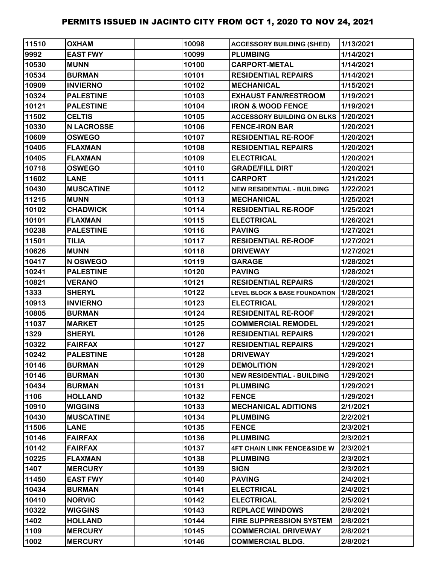| 11510 | <b>OXHAM</b>      | 10098 | <b>ACCESSORY BUILDING (SHED)</b>            | 1/13/2021 |
|-------|-------------------|-------|---------------------------------------------|-----------|
| 9992  | <b>EAST FWY</b>   | 10099 | <b>PLUMBING</b>                             | 1/14/2021 |
| 10530 | <b>MUNN</b>       | 10100 | <b>CARPORT-METAL</b>                        | 1/14/2021 |
| 10534 | <b>BURMAN</b>     | 10101 | <b>RESIDENTIAL REPAIRS</b>                  | 1/14/2021 |
| 10909 | <b>INVIERNO</b>   | 10102 | <b>MECHANICAL</b>                           | 1/15/2021 |
| 10324 | <b>PALESTINE</b>  | 10103 | <b>EXHAUST FAN/RESTROOM</b>                 | 1/19/2021 |
| 10121 | <b>PALESTINE</b>  | 10104 | <b>IRON &amp; WOOD FENCE</b>                | 1/19/2021 |
| 11502 | <b>CELTIS</b>     | 10105 | <b>ACCESSORY BUILDING ON BLKS 1/20/2021</b> |           |
| 10330 | <b>N LACROSSE</b> | 10106 | <b>FENCE-IRON BAR</b>                       | 1/20/2021 |
| 10609 | <b>OSWEGO</b>     | 10107 | <b>RESIDENTIAL RE-ROOF</b>                  | 1/20/2021 |
| 10405 | <b>FLAXMAN</b>    | 10108 | <b>RESIDENTIAL REPAIRS</b>                  | 1/20/2021 |
| 10405 | <b>FLAXMAN</b>    | 10109 | <b>ELECTRICAL</b>                           | 1/20/2021 |
| 10718 | <b>OSWEGO</b>     | 10110 | <b>GRADE/FILL DIRT</b>                      | 1/20/2021 |
| 11602 | <b>LANE</b>       | 10111 | <b>CARPORT</b>                              | 1/21/2021 |
| 10430 | <b>MUSCATINE</b>  | 10112 | <b>NEW RESIDENTIAL - BUILDING</b>           | 1/22/2021 |
| 11215 | <b>MUNN</b>       | 10113 | <b>MECHANICAL</b>                           | 1/25/2021 |
| 10102 | <b>CHADWICK</b>   | 10114 | <b>RESIDENTIAL RE-ROOF</b>                  | 1/25/2021 |
| 10101 | <b>FLAXMAN</b>    | 10115 | <b>ELECTRICAL</b>                           | 1/26/2021 |
| 10238 | <b>PALESTINE</b>  | 10116 | <b>PAVING</b>                               | 1/27/2021 |
| 11501 | <b>TILIA</b>      | 10117 | <b>RESIDENTIAL RE-ROOF</b>                  | 1/27/2021 |
| 10626 | <b>MUNN</b>       | 10118 | <b>DRIVEWAY</b>                             | 1/27/2021 |
| 10417 | N OSWEGO          | 10119 | <b>GARAGE</b>                               | 1/28/2021 |
| 10241 | <b>PALESTINE</b>  | 10120 | <b>PAVING</b>                               | 1/28/2021 |
| 10821 | <b>VERANO</b>     | 10121 | <b>RESIDENTIAL REPAIRS</b>                  | 1/28/2021 |
| 1333  | <b>SHERYL</b>     | 10122 | <b>LEVEL BLOCK &amp; BASE FOUNDATION</b>    | 1/28/2021 |
| 10913 | <b>INVIERNO</b>   | 10123 | <b>ELECTRICAL</b>                           | 1/29/2021 |
| 10805 | <b>BURMAN</b>     | 10124 | <b>RESIDENITAL RE-ROOF</b>                  | 1/29/2021 |
| 11037 | <b>MARKET</b>     | 10125 | <b>COMMERCIAL REMODEL</b>                   | 1/29/2021 |
| 1329  | <b>SHERYL</b>     | 10126 | <b>RESIDENTIAL REPAIRS</b>                  | 1/29/2021 |
| 10322 | <b>FAIRFAX</b>    | 10127 | <b>RESIDENTIAL REPAIRS</b>                  | 1/29/2021 |
| 10242 | <b>PALESTINE</b>  | 10128 | <b>DRIVEWAY</b>                             | 1/29/2021 |
| 10146 | <b>BURMAN</b>     | 10129 | <b>DEMOLITION</b>                           | 1/29/2021 |
| 10146 | <b>BURMAN</b>     | 10130 | <b>NEW RESIDENTIAL - BUILDING</b>           | 1/29/2021 |
| 10434 | <b>BURMAN</b>     | 10131 | <b>PLUMBING</b>                             | 1/29/2021 |
| 1106  | <b>HOLLAND</b>    | 10132 | <b>FENCE</b>                                | 1/29/2021 |
| 10910 | <b>WIGGINS</b>    | 10133 | <b>MECHANICAL ADITIONS</b>                  | 2/1/2021  |
| 10430 | <b>MUSCATINE</b>  | 10134 | <b>PLUMBING</b>                             | 2/2/2021  |
| 11506 | <b>LANE</b>       | 10135 | <b>FENCE</b>                                | 2/3/2021  |
| 10146 | <b>FAIRFAX</b>    | 10136 | <b>PLUMBING</b>                             | 2/3/2021  |
| 10142 | <b>FAIRFAX</b>    | 10137 | <b>4FT CHAIN LINK FENCE&amp;SIDE W</b>      | 2/3/2021  |
| 10225 | <b>FLAXMAN</b>    | 10138 | <b>PLUMBING</b>                             | 2/3/2021  |
| 1407  | <b>MERCURY</b>    | 10139 | <b>SIGN</b>                                 | 2/3/2021  |
| 11450 | <b>EAST FWY</b>   | 10140 | <b>PAVING</b>                               | 2/4/2021  |
| 10434 | <b>BURMAN</b>     | 10141 | <b>ELECTRICAL</b>                           | 2/4/2021  |
| 10410 | <b>NORVIC</b>     | 10142 | <b>ELECTRICAL</b>                           | 2/5/2021  |
| 10322 | <b>WIGGINS</b>    | 10143 | <b>REPLACE WINDOWS</b>                      | 2/8/2021  |
| 1402  | <b>HOLLAND</b>    | 10144 | <b>FIRE SUPPRESSION SYSTEM</b>              | 2/8/2021  |
| 1109  | <b>MERCURY</b>    | 10145 | <b>COMMERCIAL DRIVEWAY</b>                  | 2/8/2021  |
| 1002  | <b>MERCURY</b>    | 10146 | <b>COMMERCIAL BLDG.</b>                     | 2/8/2021  |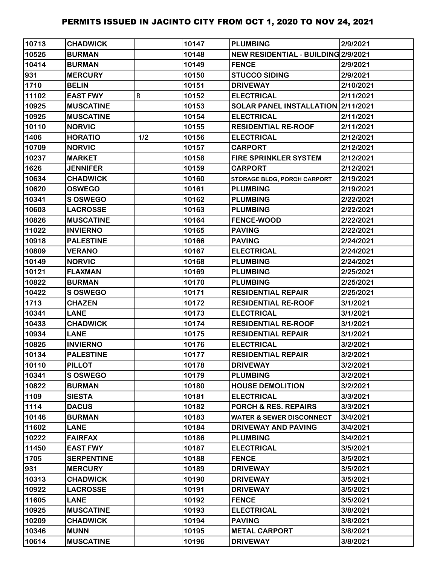| 10713 | <b>CHADWICK</b>   |     | 10147 | <b>PLUMBING</b>                     | 2/9/2021  |
|-------|-------------------|-----|-------|-------------------------------------|-----------|
| 10525 | <b>BURMAN</b>     |     | 10148 | NEW RESIDENTIAL - BUILDING 2/9/2021 |           |
| 10414 | <b>BURMAN</b>     |     | 10149 | <b>FENCE</b>                        | 2/9/2021  |
| 931   | <b>MERCURY</b>    |     | 10150 | <b>STUCCO SIDING</b>                | 2/9/2021  |
| 1710  | <b>BELIN</b>      |     | 10151 | <b>DRIVEWAY</b>                     | 2/10/2021 |
| 11102 | <b>EAST FWY</b>   | B   | 10152 | <b>ELECTRICAL</b>                   | 2/11/2021 |
| 10925 | <b>MUSCATINE</b>  |     | 10153 | SOLAR PANEL INSTALLATION 2/11/2021  |           |
| 10925 | <b>MUSCATINE</b>  |     | 10154 | <b>ELECTRICAL</b>                   | 2/11/2021 |
| 10110 | <b>NORVIC</b>     |     | 10155 | <b>RESIDENTIAL RE-ROOF</b>          | 2/11/2021 |
| 1406  | <b>HORATIO</b>    | 1/2 | 10156 | <b>ELECTRICAL</b>                   | 2/12/2021 |
| 10709 | <b>NORVIC</b>     |     | 10157 | <b>CARPORT</b>                      | 2/12/2021 |
| 10237 | <b>MARKET</b>     |     | 10158 | <b>FIRE SPRINKLER SYSTEM</b>        | 2/12/2021 |
| 1626  | <b>JENNIFER</b>   |     | 10159 | <b>CARPORT</b>                      | 2/12/2021 |
| 10634 | <b>CHADWICK</b>   |     | 10160 | <b>STORAGE BLDG, PORCH CARPORT</b>  | 2/19/2021 |
| 10620 | <b>OSWEGO</b>     |     | 10161 | <b>PLUMBING</b>                     | 2/19/2021 |
| 10341 | S OSWEGO          |     | 10162 | <b>PLUMBING</b>                     | 2/22/2021 |
| 10603 | <b>LACROSSE</b>   |     | 10163 | <b>PLUMBING</b>                     | 2/22/2021 |
| 10826 | <b>MUSCATINE</b>  |     | 10164 | <b>FENCE-WOOD</b>                   | 2/22/2021 |
| 11022 | <b>INVIERNO</b>   |     | 10165 | <b>PAVING</b>                       | 2/22/2021 |
| 10918 | <b>PALESTINE</b>  |     | 10166 | <b>PAVING</b>                       | 2/24/2021 |
| 10809 | <b>VERANO</b>     |     | 10167 | <b>ELECTRICAL</b>                   | 2/24/2021 |
| 10149 | <b>NORVIC</b>     |     | 10168 | <b>PLUMBING</b>                     | 2/24/2021 |
| 10121 | <b>FLAXMAN</b>    |     | 10169 | <b>PLUMBING</b>                     | 2/25/2021 |
| 10822 | <b>BURMAN</b>     |     | 10170 | <b>PLUMBING</b>                     | 2/25/2021 |
| 10422 | <b>S OSWEGO</b>   |     | 10171 | <b>RESIDENTIAL REPAIR</b>           | 2/25/2021 |
| 1713  | <b>CHAZEN</b>     |     | 10172 | <b>RESIDENTIAL RE-ROOF</b>          | 3/1/2021  |
| 10341 | <b>LANE</b>       |     | 10173 | <b>ELECTRICAL</b>                   | 3/1/2021  |
| 10433 | <b>CHADWICK</b>   |     | 10174 | <b>RESIDENTIAL RE-ROOF</b>          | 3/1/2021  |
| 10934 | <b>LANE</b>       |     | 10175 | <b>RESIDENTIAL REPAIR</b>           | 3/1/2021  |
| 10825 | <b>INVIERNO</b>   |     | 10176 | <b>ELECTRICAL</b>                   | 3/2/2021  |
| 10134 | <b>PALESTINE</b>  |     | 10177 | <b>RESIDENTIAL REPAIR</b>           | 3/2/2021  |
| 10110 | <b>PILLOT</b>     |     | 10178 | <b>DRIVEWAY</b>                     | 3/2/2021  |
| 10341 | <b>SOSWEGO</b>    |     | 10179 | <b>PLUMBING</b>                     | 3/2/2021  |
| 10822 | <b>BURMAN</b>     |     | 10180 | <b>HOUSE DEMOLITION</b>             | 3/2/2021  |
| 1109  | <b>SIESTA</b>     |     | 10181 | <b>ELECTRICAL</b>                   | 3/3/2021  |
| 1114  | <b>DACUS</b>      |     | 10182 | <b>PORCH &amp; RES. REPAIRS</b>     | 3/3/2021  |
| 10146 | <b>BURMAN</b>     |     | 10183 | <b>WATER &amp; SEWER DISCONNECT</b> | 3/4/2021  |
| 11602 | <b>LANE</b>       |     | 10184 | <b>DRIVEWAY AND PAVING</b>          | 3/4/2021  |
| 10222 | <b>FAIRFAX</b>    |     | 10186 | <b>PLUMBING</b>                     | 3/4/2021  |
| 11450 | <b>EAST FWY</b>   |     | 10187 | <b>ELECTRICAL</b>                   | 3/5/2021  |
| 1705  | <b>SERPENTINE</b> |     | 10188 | <b>FENCE</b>                        | 3/5/2021  |
| 931   | <b>MERCURY</b>    |     | 10189 | <b>DRIVEWAY</b>                     | 3/5/2021  |
| 10313 | <b>CHADWICK</b>   |     | 10190 | <b>DRIVEWAY</b>                     | 3/5/2021  |
| 10922 | <b>LACROSSE</b>   |     | 10191 | <b>DRIVEWAY</b>                     | 3/5/2021  |
| 11605 | <b>LANE</b>       |     | 10192 | <b>FENCE</b>                        | 3/5/2021  |
| 10925 | <b>MUSCATINE</b>  |     | 10193 | <b>ELECTRICAL</b>                   | 3/8/2021  |
| 10209 | <b>CHADWICK</b>   |     | 10194 | <b>PAVING</b>                       | 3/8/2021  |
| 10346 | <b>MUNN</b>       |     | 10195 | <b>METAL CARPORT</b>                | 3/8/2021  |
| 10614 | <b>MUSCATINE</b>  |     | 10196 | <b>DRIVEWAY</b>                     | 3/8/2021  |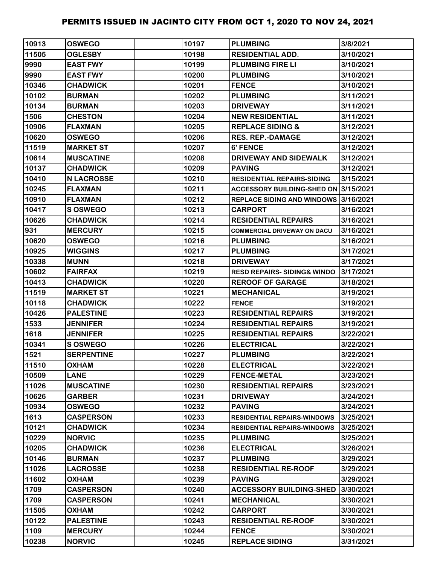| 10913 | <b>OSWEGO</b>     | 10197 | <b>PLUMBING</b>                        | 3/8/2021  |
|-------|-------------------|-------|----------------------------------------|-----------|
| 11505 | <b>OGLESBY</b>    | 10198 | <b>RESIDENTIAL ADD.</b>                | 3/10/2021 |
| 9990  | <b>EAST FWY</b>   | 10199 | <b>PLUMBING FIRE LI</b>                | 3/10/2021 |
| 9990  | <b>EAST FWY</b>   | 10200 | <b>PLUMBING</b>                        | 3/10/2021 |
| 10346 | <b>CHADWICK</b>   | 10201 | <b>FENCE</b>                           | 3/10/2021 |
| 10102 | <b>BURMAN</b>     | 10202 | <b>PLUMBING</b>                        | 3/11/2021 |
| 10134 | <b>BURMAN</b>     | 10203 | <b>DRIVEWAY</b>                        | 3/11/2021 |
| 1506  | <b>CHESTON</b>    | 10204 | <b>NEW RESIDENTIAL</b>                 | 3/11/2021 |
| 10906 | <b>FLAXMAN</b>    | 10205 | <b>REPLACE SIDING &amp;</b>            | 3/12/2021 |
| 10620 | <b>OSWEGO</b>     | 10206 | <b>RES. REP.-DAMAGE</b>                | 3/12/2021 |
| 11519 | <b>MARKET ST</b>  | 10207 | 6' FENCE                               | 3/12/2021 |
| 10614 | <b>MUSCATINE</b>  | 10208 | <b>DRIVEWAY AND SIDEWALK</b>           | 3/12/2021 |
| 10137 | <b>CHADWICK</b>   | 10209 | <b>PAVING</b>                          | 3/12/2021 |
| 10410 | <b>N LACROSSE</b> | 10210 | <b>RESIDENTIAL REPAIRS-SIDING</b>      | 3/15/2021 |
| 10245 | <b>FLAXMAN</b>    | 10211 | ACCESSORY BUILDING-SHED ON 3/15/2021   |           |
| 10910 | <b>FLAXMAN</b>    | 10212 | REPLACE SIDING AND WINDOWS 3/16/2021   |           |
| 10417 | S OSWEGO          | 10213 | CARPORT                                | 3/16/2021 |
| 10626 | <b>CHADWICK</b>   | 10214 | <b>RESIDENTIAL REPAIRS</b>             | 3/16/2021 |
| 931   | <b>MERCURY</b>    | 10215 | <b>COMMERCIAL DRIVEWAY ON DACU</b>     | 3/16/2021 |
| 10620 | <b>OSWEGO</b>     | 10216 | <b>PLUMBING</b>                        | 3/16/2021 |
| 10925 | <b>WIGGINS</b>    | 10217 | <b>PLUMBING</b>                        | 3/17/2021 |
| 10338 | <b>MUNN</b>       | 10218 | <b>DRIVEWAY</b>                        | 3/17/2021 |
| 10602 | <b>FAIRFAX</b>    | 10219 | <b>RESD REPAIRS- SIDING&amp; WINDO</b> | 3/17/2021 |
| 10413 | <b>CHADWICK</b>   | 10220 | <b>REROOF OF GARAGE</b>                | 3/18/2021 |
| 11519 | <b>MARKET ST</b>  | 10221 | <b>MECHANICAL</b>                      | 3/19/2021 |
| 10118 | <b>CHADWICK</b>   | 10222 | <b>FENCE</b>                           | 3/19/2021 |
| 10426 | <b>PALESTINE</b>  | 10223 | <b>RESIDENTIAL REPAIRS</b>             | 3/19/2021 |
| 1533  | <b>JENNIFER</b>   | 10224 | <b>RESIDENTIAL REPAIRS</b>             | 3/19/2021 |
| 1618  | <b>JENNIFER</b>   | 10225 | <b>RESIDENTIAL REPAIRS</b>             | 3/22/2021 |
| 10341 | <b>S OSWEGO</b>   | 10226 | <b>ELECTRICAL</b>                      | 3/22/2021 |
| 1521  | <b>SERPENTINE</b> | 10227 | <b>PLUMBING</b>                        | 3/22/2021 |
| 11510 | <b>OXHAM</b>      | 10228 | <b>ELECTRICAL</b>                      | 3/22/2021 |
| 10509 | <b>LANE</b>       | 10229 | <b>FENCE-METAL</b>                     | 3/23/2021 |
| 11026 | <b>MUSCATINE</b>  | 10230 | <b>RESIDENTIAL REPAIRS</b>             | 3/23/2021 |
| 10626 | <b>GARBER</b>     | 10231 | <b>DRIVEWAY</b>                        | 3/24/2021 |
| 10934 | <b>OSWEGO</b>     | 10232 | <b>PAVING</b>                          | 3/24/2021 |
| 1613  | <b>CASPERSON</b>  | 10233 | <b>RESIDENTIAL REPAIRS-WINDOWS</b>     | 3/25/2021 |
| 10121 | <b>CHADWICK</b>   | 10234 | <b>RESIDENTIAL REPAIRS-WINDOWS</b>     | 3/25/2021 |
| 10229 | <b>NORVIC</b>     | 10235 | <b>PLUMBING</b>                        | 3/25/2021 |
| 10205 | <b>CHADWICK</b>   | 10236 | <b>ELECTRICAL</b>                      | 3/26/2021 |
| 10146 | <b>BURMAN</b>     | 10237 | <b>PLUMBING</b>                        | 3/29/2021 |
| 11026 | <b>LACROSSE</b>   | 10238 | <b>RESIDENTIAL RE-ROOF</b>             | 3/29/2021 |
| 11602 | <b>NAHXO</b>      | 10239 | <b>PAVING</b>                          | 3/29/2021 |
| 1709  | <b>CASPERSON</b>  | 10240 | <b>ACCESSORY BUILDING-SHED</b>         | 3/30/2021 |
| 1709  | <b>CASPERSON</b>  | 10241 | <b>MECHANICAL</b>                      | 3/30/2021 |
| 11505 | <b>NAHXO</b>      | 10242 | <b>CARPORT</b>                         | 3/30/2021 |
| 10122 | <b>PALESTINE</b>  | 10243 | <b>RESIDENTIAL RE-ROOF</b>             | 3/30/2021 |
| 1109  | <b>MERCURY</b>    | 10244 | <b>FENCE</b>                           | 3/30/2021 |
| 10238 | <b>NORVIC</b>     | 10245 | <b>REPLACE SIDING</b>                  | 3/31/2021 |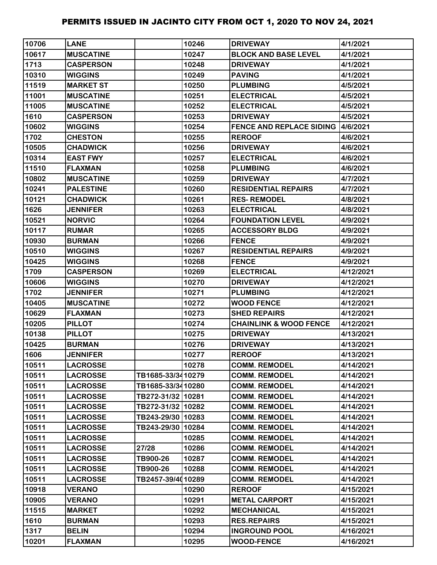| 10706 | <b>LANE</b>      |                   | 10246 | <b>DRIVEWAY</b>                           | 4/1/2021  |
|-------|------------------|-------------------|-------|-------------------------------------------|-----------|
| 10617 | <b>MUSCATINE</b> |                   | 10247 | <b>BLOCK AND BASE LEVEL</b>               | 4/1/2021  |
| 1713  | <b>CASPERSON</b> |                   | 10248 | <b>DRIVEWAY</b>                           | 4/1/2021  |
| 10310 | <b>WIGGINS</b>   |                   | 10249 | <b>PAVING</b>                             | 4/1/2021  |
| 11519 | <b>MARKET ST</b> |                   | 10250 | <b>PLUMBING</b>                           | 4/5/2021  |
| 11001 | <b>MUSCATINE</b> |                   | 10251 | <b>ELECTRICAL</b>                         | 4/5/2021  |
| 11005 | <b>MUSCATINE</b> |                   | 10252 | <b>ELECTRICAL</b>                         | 4/5/2021  |
| 1610  | <b>CASPERSON</b> |                   | 10253 | <b>DRIVEWAY</b>                           | 4/5/2021  |
| 10602 | <b>WIGGINS</b>   |                   | 10254 | <b>FENCE AND REPLACE SIDING 14/6/2021</b> |           |
| 1702  | <b>CHESTON</b>   |                   | 10255 | <b>REROOF</b>                             | 4/6/2021  |
| 10505 | <b>CHADWICK</b>  |                   | 10256 | <b>DRIVEWAY</b>                           | 4/6/2021  |
| 10314 | <b>EAST FWY</b>  |                   | 10257 | <b>ELECTRICAL</b>                         | 4/6/2021  |
| 11510 | <b>FLAXMAN</b>   |                   | 10258 | <b>PLUMBING</b>                           | 4/6/2021  |
| 10802 | <b>MUSCATINE</b> |                   | 10259 | <b>DRIVEWAY</b>                           | 4/7/2021  |
| 10241 | <b>PALESTINE</b> |                   | 10260 | <b>RESIDENTIAL REPAIRS</b>                | 4/7/2021  |
| 10121 | <b>CHADWICK</b>  |                   | 10261 | <b>RES-REMODEL</b>                        | 4/8/2021  |
| 1626  | <b>JENNIFER</b>  |                   | 10263 | <b>ELECTRICAL</b>                         | 4/8/2021  |
| 10521 | <b>NORVIC</b>    |                   | 10264 | <b>FOUNDATION LEVEL</b>                   | 4/9/2021  |
| 10117 | <b>RUMAR</b>     |                   | 10265 | <b>ACCESSORY BLDG</b>                     | 4/9/2021  |
| 10930 | <b>BURMAN</b>    |                   | 10266 | <b>FENCE</b>                              | 4/9/2021  |
| 10510 | <b>WIGGINS</b>   |                   | 10267 | <b>RESIDENTIAL REPAIRS</b>                | 4/9/2021  |
| 10425 | <b>WIGGINS</b>   |                   | 10268 | <b>FENCE</b>                              | 4/9/2021  |
| 1709  | <b>CASPERSON</b> |                   | 10269 | <b>ELECTRICAL</b>                         | 4/12/2021 |
| 10606 | <b>WIGGINS</b>   |                   | 10270 | <b>DRIVEWAY</b>                           | 4/12/2021 |
| 1702  | <b>JENNIFER</b>  |                   | 10271 | <b>PLUMBING</b>                           | 4/12/2021 |
| 10405 | <b>MUSCATINE</b> |                   | 10272 | <b>WOOD FENCE</b>                         | 4/12/2021 |
| 10629 | <b>FLAXMAN</b>   |                   | 10273 | <b>SHED REPAIRS</b>                       | 4/12/2021 |
| 10205 | <b>PILLOT</b>    |                   | 10274 | <b>CHAINLINK &amp; WOOD FENCE</b>         | 4/12/2021 |
| 10138 | <b>PILLOT</b>    |                   | 10275 | <b>DRIVEWAY</b>                           | 4/13/2021 |
| 10425 | <b>BURMAN</b>    |                   | 10276 | <b>DRIVEWAY</b>                           | 4/13/2021 |
| 1606  | <b>JENNIFER</b>  |                   | 10277 | <b>REROOF</b>                             | 4/13/2021 |
| 10511 | <b>LACROSSE</b>  |                   | 10278 | <b>COMM. REMODEL</b>                      | 4/14/2021 |
| 10511 | <b>LACROSSE</b>  | TB1685-33/3410279 |       | <b>COMM. REMODEL</b>                      | 4/14/2021 |
| 10511 | <b>LACROSSE</b>  | TB1685-33/3410280 |       | <b>COMM. REMODEL</b>                      | 4/14/2021 |
| 10511 | <b>LACROSSE</b>  | TB272-31/32 10281 |       | <b>COMM. REMODEL</b>                      | 4/14/2021 |
| 10511 | <b>LACROSSE</b>  | TB272-31/32 10282 |       | <b>COMM. REMODEL</b>                      | 4/14/2021 |
| 10511 | <b>LACROSSE</b>  | TB243-29/30 10283 |       | <b>COMM. REMODEL</b>                      | 4/14/2021 |
| 10511 | <b>LACROSSE</b>  | TB243-29/30 10284 |       | <b>COMM. REMODEL</b>                      | 4/14/2021 |
| 10511 | <b>LACROSSE</b>  |                   | 10285 | <b>COMM. REMODEL</b>                      | 4/14/2021 |
| 10511 | <b>LACROSSE</b>  | 27/28             | 10286 | <b>COMM. REMODEL</b>                      | 4/14/2021 |
| 10511 | <b>LACROSSE</b>  | TB900-26          | 10287 | <b>COMM. REMODEL</b>                      | 4/14/2021 |
| 10511 | <b>LACROSSE</b>  | TB900-26          | 10288 | <b>COMM. REMODEL</b>                      | 4/14/2021 |
| 10511 | <b>LACROSSE</b>  | TB2457-39/4010289 |       | <b>COMM. REMODEL</b>                      | 4/14/2021 |
| 10918 | <b>VERANO</b>    |                   | 10290 | <b>REROOF</b>                             | 4/15/2021 |
| 10905 | <b>VERANO</b>    |                   | 10291 | <b>METAL CARPORT</b>                      | 4/15/2021 |
| 11515 | <b>MARKET</b>    |                   | 10292 | <b>MECHANICAL</b>                         | 4/15/2021 |
| 1610  | <b>BURMAN</b>    |                   | 10293 | <b>RES.REPAIRS</b>                        | 4/15/2021 |
| 1317  | <b>BELIN</b>     |                   | 10294 | <b>INGROUND POOL</b>                      | 4/16/2021 |
| 10201 | <b>FLAXMAN</b>   |                   | 10295 | <b>WOOD-FENCE</b>                         | 4/16/2021 |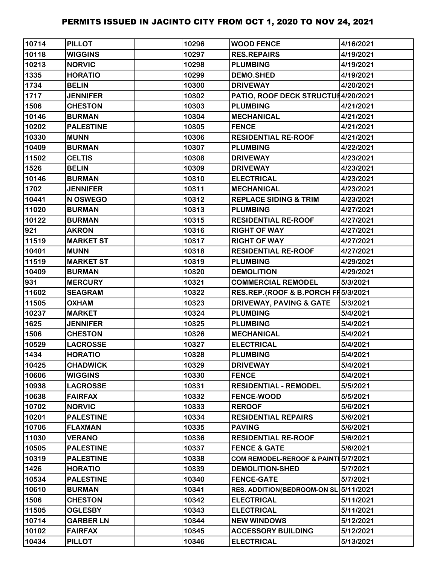| 10714 | <b>PILLOT</b>    | 10296 | <b>WOOD FENCE</b>                   | 4/16/2021 |
|-------|------------------|-------|-------------------------------------|-----------|
| 10118 | <b>WIGGINS</b>   | 10297 | <b>RES.REPAIRS</b>                  | 4/19/2021 |
| 10213 | <b>NORVIC</b>    | 10298 | <b>PLUMBING</b>                     | 4/19/2021 |
| 1335  | <b>HORATIO</b>   | 10299 | <b>DEMO.SHED</b>                    | 4/19/2021 |
| 1734  | <b>BELIN</b>     | 10300 | <b>DRIVEWAY</b>                     | 4/20/2021 |
| 1717  | <b>JENNIFER</b>  | 10302 | PATIO, ROOF DECK STRUCTUH4/20/2021  |           |
| 1506  | <b>CHESTON</b>   | 10303 | <b>PLUMBING</b>                     | 4/21/2021 |
| 10146 | <b>BURMAN</b>    | 10304 | <b>MECHANICAL</b>                   | 4/21/2021 |
| 10202 | <b>PALESTINE</b> | 10305 | <b>FENCE</b>                        | 4/21/2021 |
| 10330 | <b>MUNN</b>      | 10306 | <b>RESIDENTIAL RE-ROOF</b>          | 4/21/2021 |
| 10409 | <b>BURMAN</b>    | 10307 | <b>PLUMBING</b>                     | 4/22/2021 |
| 11502 | <b>CELTIS</b>    | 10308 | <b>DRIVEWAY</b>                     | 4/23/2021 |
| 1526  | <b>BELIN</b>     | 10309 | <b>DRIVEWAY</b>                     | 4/23/2021 |
| 10146 | <b>BURMAN</b>    | 10310 | <b>ELECTRICAL</b>                   | 4/23/2021 |
| 1702  | <b>JENNIFER</b>  | 10311 | <b>MECHANICAL</b>                   | 4/23/2021 |
| 10441 | N OSWEGO         | 10312 | <b>REPLACE SIDING &amp; TRIM</b>    | 4/23/2021 |
| 11020 | <b>BURMAN</b>    | 10313 | <b>PLUMBING</b>                     | 4/27/2021 |
| 10122 | <b>BURMAN</b>    | 10315 | <b>RESIDENTIAL RE-ROOF</b>          | 4/27/2021 |
| 921   | <b>AKRON</b>     | 10316 | <b>RIGHT OF WAY</b>                 | 4/27/2021 |
| 11519 | <b>MARKET ST</b> | 10317 | <b>RIGHT OF WAY</b>                 | 4/27/2021 |
| 10401 | <b>MUNN</b>      | 10318 | <b>RESIDENTIAL RE-ROOF</b>          | 4/27/2021 |
| 11519 | <b>MARKET ST</b> | 10319 | <b>PLUMBING</b>                     | 4/29/2021 |
| 10409 | <b>BURMAN</b>    | 10320 | <b>DEMOLITION</b>                   | 4/29/2021 |
| 931   | <b>MERCURY</b>   | 10321 | <b>COMMERCIAL REMODEL</b>           | 5/3/2021  |
| 11602 | <b>SEAGRAM</b>   | 10322 | RES.REP.(ROOF & B.PORCH FI5/3/2021  |           |
| 11505 | <b>OXHAM</b>     | 10323 | <b>DRIVEWAY, PAVING &amp; GATE</b>  | 5/3/2021  |
| 10237 | <b>MARKET</b>    | 10324 | <b>PLUMBING</b>                     | 5/4/2021  |
| 1625  | <b>JENNIFER</b>  | 10325 | <b>PLUMBING</b>                     | 5/4/2021  |
| 1506  | <b>CHESTON</b>   | 10326 | <b>MECHANICAL</b>                   | 5/4/2021  |
| 10529 | <b>LACROSSE</b>  | 10327 | <b>ELECTRICAL</b>                   | 5/4/2021  |
| 1434  | <b>HORATIO</b>   | 10328 | <b>PLUMBING</b>                     | 5/4/2021  |
| 10425 | <b>CHADWICK</b>  | 10329 | <b>DRIVEWAY</b>                     | 5/4/2021  |
| 10606 | <b>WIGGINS</b>   | 10330 | <b>FENCE</b>                        | 5/4/2021  |
| 10938 | <b>LACROSSE</b>  | 10331 | <b>RESIDENTIAL - REMODEL</b>        | 5/5/2021  |
| 10638 | <b>FAIRFAX</b>   | 10332 | <b>FENCE-WOOD</b>                   | 5/5/2021  |
| 10702 | <b>NORVIC</b>    | 10333 | <b>REROOF</b>                       | 5/6/2021  |
| 10201 | <b>PALESTINE</b> | 10334 | <b>RESIDENTIAL REPAIRS</b>          | 5/6/2021  |
| 10706 | <b>FLAXMAN</b>   | 10335 | <b>PAVING</b>                       | 5/6/2021  |
| 11030 | <b>VERANO</b>    | 10336 | <b>RESIDENTIAL RE-ROOF</b>          | 5/6/2021  |
| 10505 | <b>PALESTINE</b> | 10337 | <b>FENCE &amp; GATE</b>             | 5/6/2021  |
| 10319 | <b>PALESTINE</b> | 10338 | COM REMODEL-REROOF & PAINT 5/7/2021 |           |
| 1426  | <b>HORATIO</b>   | 10339 | <b>DEMOLITION-SHED</b>              | 5/7/2021  |
| 10534 | <b>PALESTINE</b> | 10340 | <b>FENCE-GATE</b>                   | 5/7/2021  |
| 10610 | <b>BURMAN</b>    | 10341 | RES. ADDITION(BEDROOM-ON SL         | 5/11/2021 |
| 1506  | <b>CHESTON</b>   | 10342 | <b>ELECTRICAL</b>                   | 5/11/2021 |
| 11505 | <b>OGLESBY</b>   | 10343 | <b>ELECTRICAL</b>                   | 5/11/2021 |
| 10714 | <b>GARBER LN</b> | 10344 | <b>NEW WINDOWS</b>                  | 5/12/2021 |
| 10102 | <b>FAIRFAX</b>   | 10345 | <b>ACCESSORY BUILDING</b>           | 5/12/2021 |
| 10434 | <b>PILLOT</b>    | 10346 | <b>ELECTRICAL</b>                   | 5/13/2021 |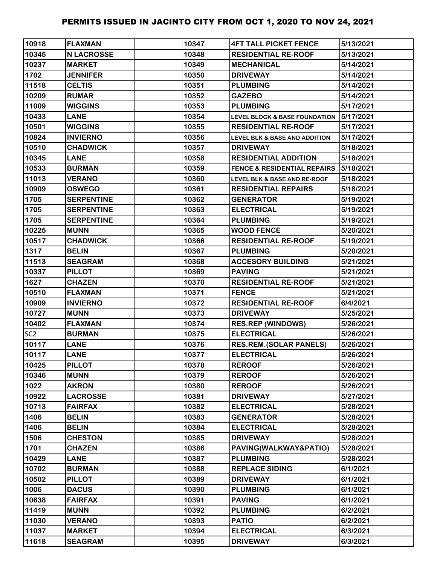| 10918           | <b>FLAXMAN</b>    | 10347 | <b>4FT TALL PICKET FENCE</b>             | 5/13/2021 |
|-----------------|-------------------|-------|------------------------------------------|-----------|
| 10345           | <b>N LACROSSE</b> | 10348 | <b>RESIDENTIAL RE-ROOF</b>               | 5/13/2021 |
| 10237           | <b>MARKET</b>     | 10349 | <b>MECHANICAL</b>                        | 5/14/2021 |
| 1702            | <b>JENNIFER</b>   | 10350 | <b>DRIVEWAY</b>                          | 5/14/2021 |
| 11518           | <b>CELTIS</b>     | 10351 | <b>PLUMBING</b>                          | 5/14/2021 |
| 10209           | <b>RUMAR</b>      | 10352 | <b>GAZEBO</b>                            | 5/14/2021 |
| 11009           | <b>WIGGINS</b>    | 10353 | <b>PLUMBING</b>                          | 5/17/2021 |
| 10433           | <b>LANE</b>       | 10354 | <b>LEVEL BLOCK &amp; BASE FOUNDATION</b> | 5/17/2021 |
| 10501           | <b>WIGGINS</b>    | 10355 | <b>RESIDENTIAL RE-ROOF</b>               | 5/17/2021 |
| 10824           | <b>INVIERNO</b>   | 10356 | <b>LEVEL BLK &amp; BASE AND ADDITION</b> | 5/17/2021 |
| 10510           | <b>CHADWICK</b>   | 10357 | <b>DRIVEWAY</b>                          | 5/18/2021 |
| 10345           | <b>LANE</b>       | 10358 | <b>RESIDENTIAL ADDITION</b>              | 5/18/2021 |
| 10533           | <b>BURMAN</b>     | 10359 | <b>FENCE &amp; RESIDENTIAL REPAIRS</b>   | 5/18/2021 |
| 11013           | <b>VERANO</b>     | 10360 | <b>LEVEL BLK &amp; BASE AND RE-ROOF</b>  | 5/18/2021 |
| 10909           | <b>OSWEGO</b>     | 10361 | <b>RESIDENTIAL REPAIRS</b>               | 5/18/2021 |
| 1705            | <b>SERPENTINE</b> | 10362 | <b>GENERATOR</b>                         | 5/19/2021 |
| 1705            | <b>SERPENTINE</b> | 10363 | <b>ELECTRICAL</b>                        | 5/19/2021 |
| 1705            | <b>SERPENTINE</b> | 10364 | <b>PLUMBING</b>                          | 5/19/2021 |
| 10225           | <b>MUNN</b>       | 10365 | <b>WOOD FENCE</b>                        | 5/20/2021 |
| 10517           | <b>CHADWICK</b>   | 10366 | <b>RESIDENTIAL RE-ROOF</b>               | 5/19/2021 |
| 1317            | <b>BELIN</b>      | 10367 | <b>PLUMBING</b>                          | 5/20/2021 |
| 11513           | <b>SEAGRAM</b>    | 10368 | <b>ACCESORY BUILDING</b>                 | 5/21/2021 |
| 10337           | <b>PILLOT</b>     | 10369 | <b>PAVING</b>                            | 5/21/2021 |
| 1627            | <b>CHAZEN</b>     | 10370 | <b>RESIDENTIAL RE-ROOF</b>               | 5/21/2021 |
| 10510           | <b>FLAXMAN</b>    | 10371 | <b>FENCE</b>                             | 5/21/2021 |
| 10909           | <b>INVIERNO</b>   | 10372 | <b>RESIDENTIAL RE-ROOF</b>               | 6/4/2021  |
| 10727           | <b>MUNN</b>       | 10373 | <b>DRIVEWAY</b>                          | 5/25/2021 |
| 10402           | <b>FLAXMAN</b>    | 10374 | <b>RES.REP (WINDOWS)</b>                 | 5/26/2021 |
| SC <sub>2</sub> | <b>BURMAN</b>     | 10375 | <b>ELECTRICAL</b>                        | 5/26/2021 |
| 10117           | <b>LANE</b>       | 10376 | <b>RES.REM.(SOLAR PANELS)</b>            | 5/26/2021 |
| 10117           | <b>LANE</b>       | 10377 | <b>ELECTRICAL</b>                        | 5/26/2021 |
| 10425           | <b>PILLOT</b>     | 10378 | <b>REROOF</b>                            | 5/26/2021 |
| 10346           | <b>MUNN</b>       | 10379 | <b>REROOF</b>                            | 5/26/2021 |
| 1022            | <b>AKRON</b>      | 10380 | <b>REROOF</b>                            | 5/26/2021 |
| 10922           | <b>LACROSSE</b>   | 10381 | <b>DRIVEWAY</b>                          | 5/27/2021 |
| 10713           | <b>FAIRFAX</b>    | 10382 | <b>ELECTRICAL</b>                        | 5/28/2021 |
| 1406            | <b>BELIN</b>      | 10383 | <b>GENERATOR</b>                         | 5/28/2021 |
| 1406            | <b>BELIN</b>      | 10384 | <b>ELECTRICAL</b>                        | 5/28/2021 |
| 1506            | <b>CHESTON</b>    | 10385 | <b>DRIVEWAY</b>                          | 5/28/2021 |
| 1701            | <b>CHAZEN</b>     | 10386 | PAVING(WALKWAY&PATIO)                    | 5/28/2021 |
| 10429           | <b>LANE</b>       | 10387 | <b>PLUMBING</b>                          | 5/28/2021 |
| 10702           | <b>BURMAN</b>     | 10388 | <b>REPLACE SIDING</b>                    | 6/1/2021  |
| 10502           | <b>PILLOT</b>     | 10389 | <b>DRIVEWAY</b>                          | 6/1/2021  |
| 1006            | <b>DACUS</b>      | 10390 | <b>PLUMBING</b>                          | 6/1/2021  |
| 10638           | <b>FAIRFAX</b>    | 10391 | <b>PAVING</b>                            | 6/1/2021  |
| 11419           | <b>MUNN</b>       | 10392 | <b>PLUMBING</b>                          | 6/2/2021  |
| 11030           | <b>VERANO</b>     | 10393 | <b>PATIO</b>                             | 6/2/2021  |
| 11037           | <b>MARKET</b>     | 10394 | <b>ELECTRICAL</b>                        | 6/3/2021  |
| 11618           | <b>SEAGRAM</b>    | 10395 | <b>DRIVEWAY</b>                          | 6/3/2021  |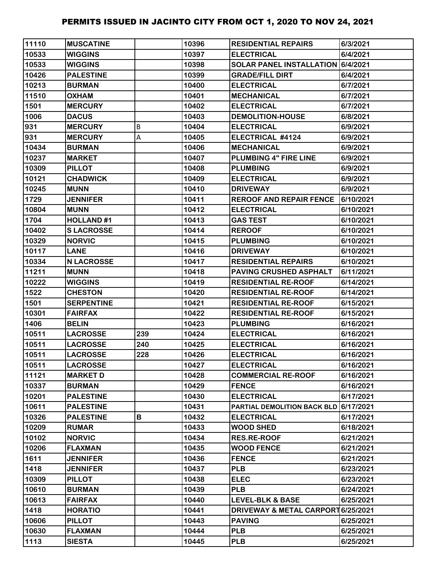| 11110 | <b>MUSCATINE</b>  |     | 10396 | <b>RESIDENTIAL REPAIRS</b>            | 6/3/2021  |
|-------|-------------------|-----|-------|---------------------------------------|-----------|
| 10533 | <b>WIGGINS</b>    |     | 10397 | <b>ELECTRICAL</b>                     | 6/4/2021  |
| 10533 | <b>WIGGINS</b>    |     | 10398 | SOLAR PANEL INSTALLATION 6/4/2021     |           |
| 10426 | <b>PALESTINE</b>  |     | 10399 | <b>GRADE/FILL DIRT</b>                | 6/4/2021  |
| 10213 | <b>BURMAN</b>     |     | 10400 | <b>ELECTRICAL</b>                     | 6/7/2021  |
| 11510 | <b>OXHAM</b>      |     | 10401 | <b>MECHANICAL</b>                     | 6/7/2021  |
| 1501  | <b>MERCURY</b>    |     | 10402 | <b>ELECTRICAL</b>                     | 6/7/2021  |
| 1006  | <b>DACUS</b>      |     | 10403 | <b>DEMOLITION-HOUSE</b>               | 6/8/2021  |
| 931   | <b>MERCURY</b>    | B   | 10404 | <b>ELECTRICAL</b>                     | 6/9/2021  |
| 931   | <b>MERCURY</b>    | А   | 10405 | ELECTRICAL #4124                      | 6/9/2021  |
| 10434 | <b>BURMAN</b>     |     | 10406 | <b>MECHANICAL</b>                     | 6/9/2021  |
| 10237 | <b>MARKET</b>     |     | 10407 | <b>PLUMBING 4" FIRE LINE</b>          | 6/9/2021  |
| 10309 | <b>PILLOT</b>     |     | 10408 | <b>PLUMBING</b>                       | 6/9/2021  |
| 10121 | <b>CHADWICK</b>   |     | 10409 | <b>ELECTRICAL</b>                     | 6/9/2021  |
| 10245 | <b>MUNN</b>       |     | 10410 | <b>DRIVEWAY</b>                       | 6/9/2021  |
| 1729  | <b>JENNIFER</b>   |     | 10411 | <b>REROOF AND REPAIR FENCE</b>        | 6/10/2021 |
| 10804 | <b>MUNN</b>       |     | 10412 | <b>ELECTRICAL</b>                     | 6/10/2021 |
| 1704  | <b>HOLLAND#1</b>  |     | 10413 | <b>GAS TEST</b>                       | 6/10/2021 |
| 10402 | <b>SLACROSSE</b>  |     | 10414 | <b>REROOF</b>                         | 6/10/2021 |
| 10329 | <b>NORVIC</b>     |     | 10415 | <b>PLUMBING</b>                       | 6/10/2021 |
| 10117 | <b>LANE</b>       |     | 10416 | <b>DRIVEWAY</b>                       | 6/10/2021 |
| 10334 | <b>N LACROSSE</b> |     | 10417 | <b>RESIDENTIAL REPAIRS</b>            | 6/10/2021 |
| 11211 | <b>MUNN</b>       |     | 10418 | <b>PAVING CRUSHED ASPHALT</b>         | 6/11/2021 |
| 10222 | <b>WIGGINS</b>    |     | 10419 | <b>RESIDENTIAL RE-ROOF</b>            | 6/14/2021 |
| 1522  | <b>CHESTON</b>    |     | 10420 | <b>RESIDENTIAL RE-ROOF</b>            | 6/14/2021 |
| 1501  | <b>SERPENTINE</b> |     | 10421 | <b>RESIDENTIAL RE-ROOF</b>            | 6/15/2021 |
| 10301 | <b>FAIRFAX</b>    |     | 10422 | <b>RESIDENTIAL RE-ROOF</b>            | 6/15/2021 |
| 1406  | <b>BELIN</b>      |     | 10423 | <b>PLUMBING</b>                       | 6/16/2021 |
| 10511 | <b>LACROSSE</b>   | 239 | 10424 | <b>ELECTRICAL</b>                     | 6/16/2021 |
| 10511 | <b>LACROSSE</b>   | 240 | 10425 | <b>ELECTRICAL</b>                     | 6/16/2021 |
| 10511 | <b>LACROSSE</b>   | 228 | 10426 | <b>ELECTRICAL</b>                     | 6/16/2021 |
| 10511 | <b>LACROSSE</b>   |     | 10427 | <b>ELECTRICAL</b>                     | 6/16/2021 |
| 11121 | <b>MARKET D</b>   |     | 10428 | <b>COMMERCIAL RE-ROOF</b>             | 6/16/2021 |
| 10337 | <b>BURMAN</b>     |     | 10429 | <b>FENCE</b>                          | 6/16/2021 |
| 10201 | <b>PALESTINE</b>  |     | 10430 | <b>ELECTRICAL</b>                     | 6/17/2021 |
| 10611 | <b>PALESTINE</b>  |     | 10431 | PARTIAL DEMOLITION BACK BLD 6/17/2021 |           |
| 10326 | <b>PALESTINE</b>  | В   | 10432 | <b>ELECTRICAL</b>                     | 6/17/2021 |
| 10209 | <b>RUMAR</b>      |     | 10433 | <b>WOOD SHED</b>                      | 6/18/2021 |
| 10102 | <b>NORVIC</b>     |     | 10434 | <b>RES.RE-ROOF</b>                    | 6/21/2021 |
| 10206 | <b>FLAXMAN</b>    |     | 10435 | <b>WOOD FENCE</b>                     | 6/21/2021 |
| 1611  | <b>JENNIFER</b>   |     | 10436 | <b>FENCE</b>                          | 6/21/2021 |
| 1418  | <b>JENNIFER</b>   |     | 10437 | <b>PLB</b>                            | 6/23/2021 |
| 10309 | <b>PILLOT</b>     |     | 10438 | <b>ELEC</b>                           | 6/23/2021 |
| 10610 | <b>BURMAN</b>     |     | 10439 | <b>PLB</b>                            | 6/24/2021 |
| 10613 | <b>FAIRFAX</b>    |     | 10440 | <b>LEVEL-BLK &amp; BASE</b>           | 6/25/2021 |
| 1418  | <b>HORATIO</b>    |     | 10441 | DRIVEWAY & METAL CARPORT 6/25/2021    |           |
| 10606 | <b>PILLOT</b>     |     | 10443 | <b>PAVING</b>                         | 6/25/2021 |
| 10630 | <b>FLAXMAN</b>    |     | 10444 | <b>PLB</b>                            | 6/25/2021 |
| 1113  | <b>SIESTA</b>     |     | 10445 | <b>PLB</b>                            | 6/25/2021 |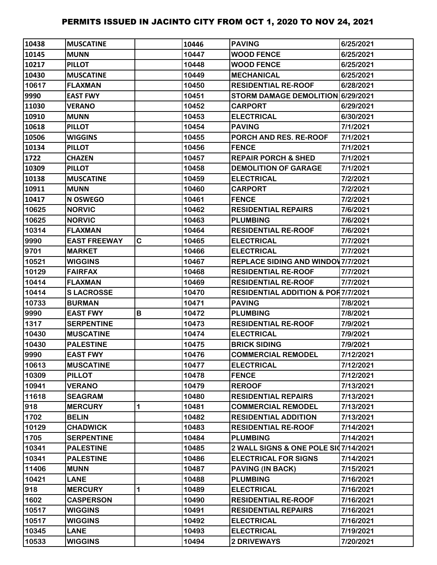| 10438 | <b>IMUSCATINE</b>   |   | 10446 | <b>PAVING</b>                                 | 6/25/2021 |
|-------|---------------------|---|-------|-----------------------------------------------|-----------|
| 10145 | <b>MUNN</b>         |   | 10447 | <b>WOOD FENCE</b>                             | 6/25/2021 |
| 10217 | <b>PILLOT</b>       |   | 10448 | <b>WOOD FENCE</b>                             | 6/25/2021 |
| 10430 | <b>MUSCATINE</b>    |   | 10449 | <b>MECHANICAL</b>                             | 6/25/2021 |
| 10617 | <b>FLAXMAN</b>      |   | 10450 | <b>RESIDENTIAL RE-ROOF</b>                    | 6/28/2021 |
| 9990  | <b>EAST FWY</b>     |   | 10451 | STORM DAMAGE DEMOLITION 6/29/2021             |           |
| 11030 | <b>VERANO</b>       |   | 10452 | <b>CARPORT</b>                                | 6/29/2021 |
| 10910 | <b>MUNN</b>         |   | 10453 | <b>ELECTRICAL</b>                             | 6/30/2021 |
| 10618 | <b>PILLOT</b>       |   | 10454 | <b>PAVING</b>                                 | 7/1/2021  |
| 10506 | <b>WIGGINS</b>      |   | 10455 | PORCH AND RES. RE-ROOF                        | 7/1/2021  |
| 10134 | <b>PILLOT</b>       |   | 10456 | <b>FENCE</b>                                  | 7/1/2021  |
| 1722  | <b>CHAZEN</b>       |   | 10457 | <b>REPAIR PORCH &amp; SHED</b>                | 7/1/2021  |
| 10309 | <b>PILLOT</b>       |   | 10458 | <b>DEMOLITION OF GARAGE</b>                   | 7/1/2021  |
| 10138 | <b>MUSCATINE</b>    |   | 10459 | <b>ELECTRICAL</b>                             | 7/2/2021  |
| 10911 | <b>MUNN</b>         |   | 10460 | <b>CARPORT</b>                                | 7/2/2021  |
| 10417 | N OSWEGO            |   | 10461 | <b>FENCE</b>                                  | 7/2/2021  |
| 10625 | <b>NORVIC</b>       |   | 10462 | <b>RESIDENTIAL REPAIRS</b>                    | 7/6/2021  |
| 10625 | <b>NORVIC</b>       |   | 10463 | <b>PLUMBING</b>                               | 7/6/2021  |
| 10314 | <b>FLAXMAN</b>      |   | 10464 | <b>RESIDENTIAL RE-ROOF</b>                    | 7/6/2021  |
| 9990  | <b>EAST FREEWAY</b> | C | 10465 | <b>ELECTRICAL</b>                             | 7/7/2021  |
| 9701  | <b>MARKET</b>       |   | 10466 | <b>ELECTRICAL</b>                             | 7/7/2021  |
| 10521 | <b>WIGGINS</b>      |   | 10467 | <b>REPLACE SIDING AND WINDOV 7/7/2021</b>     |           |
| 10129 | <b>FAIRFAX</b>      |   | 10468 | <b>RESIDENTIAL RE-ROOF</b>                    | 7/7/2021  |
| 10414 | <b>FLAXMAN</b>      |   | 10469 | <b>RESIDENTIAL RE-ROOF</b>                    | 7/7/2021  |
| 10414 | <b>SLACROSSE</b>    |   | 10470 | <b>RESIDENTIAL ADDITION &amp; POR7/7/2021</b> |           |
| 10733 | <b>BURMAN</b>       |   | 10471 | <b>PAVING</b>                                 | 7/8/2021  |
| 9990  | <b>EAST FWY</b>     | В | 10472 | <b>PLUMBING</b>                               | 7/8/2021  |
| 1317  | <b>SERPENTINE</b>   |   | 10473 | <b>RESIDENTIAL RE-ROOF</b>                    | 7/9/2021  |
| 10430 | <b>MUSCATINE</b>    |   | 10474 | <b>ELECTRICAL</b>                             | 7/9/2021  |
| 10430 | <b>PALESTINE</b>    |   | 10475 | <b>BRICK SIDING</b>                           | 7/9/2021  |
| 9990  | <b>EAST FWY</b>     |   | 10476 | <b>COMMERCIAL REMODEL</b>                     | 7/12/2021 |
| 10613 | <b>MUSCATINE</b>    |   | 10477 | <b>ELECTRICAL</b>                             | 7/12/2021 |
| 10309 | <b>PILLOT</b>       |   | 10478 | <b>FENCE</b>                                  | 7/12/2021 |
| 10941 | <b>VERANO</b>       |   | 10479 | <b>REROOF</b>                                 | 7/13/2021 |
| 11618 | <b>SEAGRAM</b>      |   | 10480 | <b>RESIDENTIAL REPAIRS</b>                    | 7/13/2021 |
| 918   | <b>MERCURY</b>      | 1 | 10481 | <b>COMMERCIAL REMODEL</b>                     | 7/13/2021 |
| 1702  | <b>BELIN</b>        |   | 10482 | <b>RESIDENTIAL ADDITION</b>                   | 7/13/2021 |
| 10129 | <b>CHADWICK</b>     |   | 10483 | <b>RESIDENTIAL RE-ROOF</b>                    | 7/14/2021 |
| 1705  | <b>SERPENTINE</b>   |   | 10484 | <b>PLUMBING</b>                               | 7/14/2021 |
| 10341 | <b>PALESTINE</b>    |   | 10485 | 2 WALL SIGNS & ONE POLE SI07/14/2021          |           |
| 10341 | <b>PALESTINE</b>    |   | 10486 | <b>ELECTRICAL FOR SIGNS</b>                   | 7/14/2021 |
| 11406 | <b>MUNN</b>         |   | 10487 | <b>PAVING (IN BACK)</b>                       | 7/15/2021 |
| 10421 | <b>LANE</b>         |   | 10488 | <b>PLUMBING</b>                               | 7/16/2021 |
| 918   | <b>MERCURY</b>      | 1 | 10489 | <b>ELECTRICAL</b>                             | 7/16/2021 |
| 1602  | <b>CASPERSON</b>    |   | 10490 | <b>RESIDENTIAL RE-ROOF</b>                    | 7/16/2021 |
| 10517 | <b>WIGGINS</b>      |   | 10491 | <b>RESIDENTIAL REPAIRS</b>                    | 7/16/2021 |
| 10517 | <b>WIGGINS</b>      |   | 10492 | <b>ELECTRICAL</b>                             | 7/16/2021 |
| 10345 | <b>LANE</b>         |   | 10493 | <b>ELECTRICAL</b>                             | 7/19/2021 |
| 10533 | <b>WIGGINS</b>      |   | 10494 | <b>2 DRIVEWAYS</b>                            | 7/20/2021 |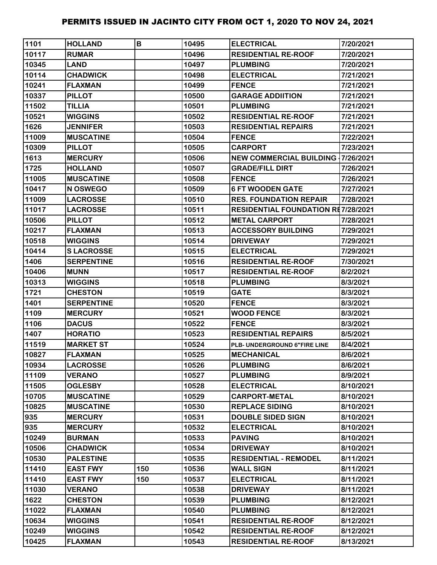| 1101  | <b>HOLLAND</b>    | B   | 10495 | <b>ELECTRICAL</b>                         | 7/20/2021 |
|-------|-------------------|-----|-------|-------------------------------------------|-----------|
| 10117 | <b>RUMAR</b>      |     | 10496 | <b>RESIDENTIAL RE-ROOF</b>                | 7/20/2021 |
| 10345 | <b>LAND</b>       |     | 10497 | <b>PLUMBING</b>                           | 7/20/2021 |
| 10114 | <b>CHADWICK</b>   |     | 10498 | <b>ELECTRICAL</b>                         | 7/21/2021 |
| 10241 | <b>FLAXMAN</b>    |     | 10499 | <b>FENCE</b>                              | 7/21/2021 |
| 10337 | <b>PILLOT</b>     |     | 10500 | <b>GARAGE ADDIITION</b>                   | 7/21/2021 |
| 11502 | <b>TILLIA</b>     |     | 10501 | <b>PLUMBING</b>                           | 7/21/2021 |
| 10521 | <b>WIGGINS</b>    |     | 10502 | <b>RESIDENTIAL RE-ROOF</b>                | 7/21/2021 |
| 1626  | <b>JENNIFER</b>   |     | 10503 | <b>RESIDENTIAL REPAIRS</b>                | 7/21/2021 |
| 11009 | <b>MUSCATINE</b>  |     | 10504 | <b>FENCE</b>                              | 7/22/2021 |
| 10309 | <b>PILLOT</b>     |     | 10505 | <b>CARPORT</b>                            | 7/23/2021 |
| 1613  | <b>MERCURY</b>    |     | 10506 | <b>NEW COMMERCIAL BUILDING 17/26/2021</b> |           |
| 1725  | <b>HOLLAND</b>    |     | 10507 | <b>GRADE/FILL DIRT</b>                    | 7/26/2021 |
| 11005 | <b>MUSCATINE</b>  |     | 10508 | <b>FENCE</b>                              | 7/26/2021 |
| 10417 | N OSWEGO          |     | 10509 | <b>6 FT WOODEN GATE</b>                   | 7/27/2021 |
| 11009 | <b>LACROSSE</b>   |     | 10510 | <b>RES. FOUNDATION REPAIR</b>             | 7/28/2021 |
| 11017 | <b>LACROSSE</b>   |     | 10511 | <b>RESIDENTIAL FOUNDATION RE7/28/2021</b> |           |
| 10506 | <b>PILLOT</b>     |     | 10512 | <b>METAL CARPORT</b>                      | 7/28/2021 |
| 10217 | <b>FLAXMAN</b>    |     | 10513 | <b>ACCESSORY BUILDING</b>                 | 7/29/2021 |
| 10518 | <b>WIGGINS</b>    |     | 10514 | <b>DRIVEWAY</b>                           | 7/29/2021 |
| 10414 | <b>SLACROSSE</b>  |     | 10515 | <b>ELECTRICAL</b>                         | 7/29/2021 |
| 1406  | <b>SERPENTINE</b> |     | 10516 | <b>RESIDENTIAL RE-ROOF</b>                | 7/30/2021 |
| 10406 | <b>MUNN</b>       |     | 10517 | <b>RESIDENTIAL RE-ROOF</b>                | 8/2/2021  |
| 10313 | <b>WIGGINS</b>    |     | 10518 | <b>PLUMBING</b>                           | 8/3/2021  |
| 1721  | <b>CHESTON</b>    |     | 10519 | <b>GATE</b>                               | 8/3/2021  |
| 1401  | <b>SERPENTINE</b> |     | 10520 | <b>FENCE</b>                              | 8/3/2021  |
| 1109  | <b>MERCURY</b>    |     | 10521 | <b>WOOD FENCE</b>                         | 8/3/2021  |
| 1106  | <b>DACUS</b>      |     | 10522 | <b>FENCE</b>                              | 8/3/2021  |
| 1407  | <b>HORATIO</b>    |     | 10523 | <b>RESIDENTIAL REPAIRS</b>                | 8/5/2021  |
| 11519 | <b>MARKET ST</b>  |     | 10524 | PLB- UNDERGROUND 6"FIRE LINE              | 8/4/2021  |
| 10827 | <b>FLAXMAN</b>    |     | 10525 | <b>MECHANICAL</b>                         | 8/6/2021  |
| 10934 | <b>LACROSSE</b>   |     | 10526 | <b>PLUMBING</b>                           | 8/6/2021  |
| 11109 | <b>VERANO</b>     |     | 10527 | <b>PLUMBING</b>                           | 8/9/2021  |
| 11505 | <b>OGLESBY</b>    |     | 10528 | <b>ELECTRICAL</b>                         | 8/10/2021 |
| 10705 | <b>MUSCATINE</b>  |     | 10529 | <b>CARPORT-METAL</b>                      | 8/10/2021 |
| 10825 | <b>MUSCATINE</b>  |     | 10530 | <b>REPLACE SIDING</b>                     | 8/10/2021 |
| 935   | <b>MERCURY</b>    |     | 10531 | <b>DOUBLE SIDED SIGN</b>                  | 8/10/2021 |
| 935   | <b>MERCURY</b>    |     | 10532 | <b>ELECTRICAL</b>                         | 8/10/2021 |
| 10249 | <b>BURMAN</b>     |     | 10533 | <b>PAVING</b>                             | 8/10/2021 |
| 10506 | <b>CHADWICK</b>   |     | 10534 | <b>DRIVEWAY</b>                           | 8/10/2021 |
| 10530 | <b>PALESTINE</b>  |     | 10535 | <b>RESIDENTIAL - REMODEL</b>              | 8/11/2021 |
| 11410 | <b>EAST FWY</b>   | 150 | 10536 | <b>WALL SIGN</b>                          | 8/11/2021 |
| 11410 | <b>EAST FWY</b>   | 150 | 10537 | <b>ELECTRICAL</b>                         | 8/11/2021 |
| 11030 | <b>VERANO</b>     |     | 10538 | <b>DRIVEWAY</b>                           | 8/11/2021 |
| 1622  | <b>CHESTON</b>    |     | 10539 | <b>PLUMBING</b>                           | 8/12/2021 |
| 11022 | <b>FLAXMAN</b>    |     | 10540 | <b>PLUMBING</b>                           | 8/12/2021 |
| 10634 | <b>WIGGINS</b>    |     | 10541 | <b>RESIDENTIAL RE-ROOF</b>                | 8/12/2021 |
| 10249 | <b>WIGGINS</b>    |     | 10542 | <b>RESIDENTIAL RE-ROOF</b>                | 8/12/2021 |
| 10425 | <b>FLAXMAN</b>    |     | 10543 | <b>RESIDENTIAL RE-ROOF</b>                | 8/13/2021 |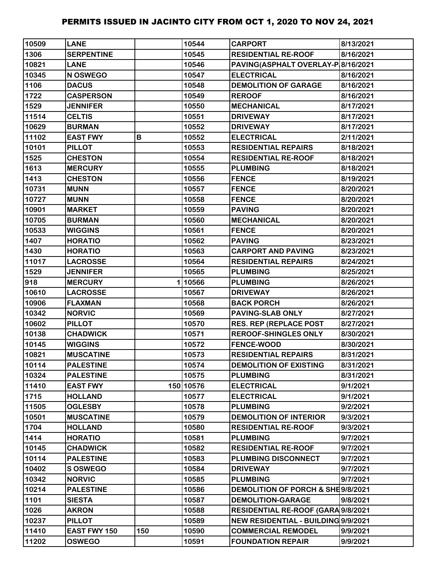| 10509 | <b>LANE</b>       |     | 10544     | <b>CARPORT</b>                      | 8/13/2021 |
|-------|-------------------|-----|-----------|-------------------------------------|-----------|
| 1306  | <b>SERPENTINE</b> |     | 10545     | <b>RESIDENTIAL RE-ROOF</b>          | 8/16/2021 |
| 10821 | <b>LANE</b>       |     | 10546     | PAVING(ASPHALT OVERLAY-P 8/16/2021  |           |
| 10345 | N OSWEGO          |     | 10547     | <b>ELECTRICAL</b>                   | 8/16/2021 |
| 1106  | <b>DACUS</b>      |     | 10548     | <b>DEMOLITION OF GARAGE</b>         | 8/16/2021 |
| 1722  | <b>CASPERSON</b>  |     | 10549     | <b>REROOF</b>                       | 8/16/2021 |
| 1529  | <b>JENNIFER</b>   |     | 10550     | <b>MECHANICAL</b>                   | 8/17/2021 |
| 11514 | <b>CELTIS</b>     |     | 10551     | <b>DRIVEWAY</b>                     | 8/17/2021 |
| 10629 | <b>BURMAN</b>     |     | 10552     | <b>DRIVEWAY</b>                     | 8/17/2021 |
| 11102 | <b>EAST FWY</b>   | В   | 10552     | <b>ELECTRICAL</b>                   | 2/11/2021 |
| 10101 | <b>PILLOT</b>     |     | 10553     | <b>RESIDENTIAL REPAIRS</b>          | 8/18/2021 |
| 1525  | <b>CHESTON</b>    |     | 10554     | <b>RESIDENTIAL RE-ROOF</b>          | 8/18/2021 |
| 1613  | <b>MERCURY</b>    |     | 10555     | <b>PLUMBING</b>                     | 8/18/2021 |
| 1413  | <b>CHESTON</b>    |     | 10556     | <b>FENCE</b>                        | 8/19/2021 |
| 10731 | <b>MUNN</b>       |     | 10557     | <b>FENCE</b>                        | 8/20/2021 |
| 10727 | <b>MUNN</b>       |     | 10558     | <b>FENCE</b>                        | 8/20/2021 |
| 10901 | <b>MARKET</b>     |     | 10559     | <b>PAVING</b>                       | 8/20/2021 |
| 10705 | <b>BURMAN</b>     |     | 10560     | <b>MECHANICAL</b>                   | 8/20/2021 |
| 10533 | <b>WIGGINS</b>    |     | 10561     | <b>FENCE</b>                        | 8/20/2021 |
| 1407  | <b>HORATIO</b>    |     | 10562     | <b>PAVING</b>                       | 8/23/2021 |
| 1430  | <b>HORATIO</b>    |     | 10563     | <b>CARPORT AND PAVING</b>           | 8/23/2021 |
| 11017 | <b>LACROSSE</b>   |     | 10564     | <b>RESIDENTIAL REPAIRS</b>          | 8/24/2021 |
| 1529  | <b>JENNIFER</b>   |     | 10565     | <b>PLUMBING</b>                     | 8/25/2021 |
| 918   | <b>MERCURY</b>    |     | 110566    | <b>PLUMBING</b>                     | 8/26/2021 |
| 10610 | <b>LACROSSE</b>   |     | 10567     | <b>DRIVEWAY</b>                     | 8/26/2021 |
| 10906 | <b>FLAXMAN</b>    |     | 10568     | <b>BACK PORCH</b>                   | 8/26/2021 |
| 10342 | <b>NORVIC</b>     |     | 10569     | <b>PAVING-SLAB ONLY</b>             | 8/27/2021 |
| 10602 | <b>PILLOT</b>     |     | 10570     | <b>RES. REP (REPLACE POST</b>       | 8/27/2021 |
| 10138 | <b>CHADWICK</b>   |     | 10571     | <b>REROOF-SHINGLES ONLY</b>         | 8/30/2021 |
| 10145 | <b>WIGGINS</b>    |     | 10572     | <b>FENCE-WOOD</b>                   | 8/30/2021 |
| 10821 | <b>MUSCATINE</b>  |     | 10573     | <b>RESIDENTIAL REPAIRS</b>          | 8/31/2021 |
| 10114 | <b>PALESTINE</b>  |     | 10574     | <b>DEMOLITION OF EXISTING</b>       | 8/31/2021 |
| 10324 | <b>PALESTINE</b>  |     | 10575     | <b>PLUMBING</b>                     | 8/31/2021 |
| 11410 | <b>EAST FWY</b>   |     | 150 10576 | <b>ELECTRICAL</b>                   | 9/1/2021  |
| 1715  | <b>HOLLAND</b>    |     | 10577     | <b>ELECTRICAL</b>                   | 9/1/2021  |
| 11505 | <b>OGLESBY</b>    |     | 10578     | <b>PLUMBING</b>                     | 9/2/2021  |
| 10501 | <b>MUSCATINE</b>  |     | 10579     | <b>DEMOLITION OF INTERIOR</b>       | 9/3/2021  |
| 1704  | <b>HOLLAND</b>    |     | 10580     | <b>RESIDENTIAL RE-ROOF</b>          | 9/3/2021  |
| 1414  | <b>HORATIO</b>    |     | 10581     | <b>PLUMBING</b>                     | 9/7/2021  |
| 10145 | <b>CHADWICK</b>   |     | 10582     | <b>RESIDENTIAL RE-ROOF</b>          | 9/7/2021  |
| 10114 | <b>PALESTINE</b>  |     | 10583     | PLUMBING DISCONNECT                 | 9/7/2021  |
| 10402 | <b>SOSWEGO</b>    |     | 10584     | <b>DRIVEWAY</b>                     | 9/7/2021  |
| 10342 | <b>NORVIC</b>     |     | 10585     | <b>PLUMBING</b>                     | 9/7/2021  |
| 10214 | <b>PALESTINE</b>  |     | 10586     | DEMOLITION OF PORCH & SHE9/8/2021   |           |
| 1101  | <b>SIESTA</b>     |     | 10587     | <b>DEMOLITION-GARAGE</b>            | 9/8/2021  |
| 1026  | <b>AKRON</b>      |     | 10588     | RESIDENTIAL RE-ROOF (GARA 9/8/2021  |           |
| 10237 | <b>PILLOT</b>     |     | 10589     | NEW RESIDENTIAL - BUILDING 9/9/2021 |           |
| 11410 | EAST FWY 150      | 150 | 10590     | <b>COMMERCIAL REMODEL</b>           | 9/9/2021  |
| 11202 | <b>OSWEGO</b>     |     | 10591     | <b>FOUNDATION REPAIR</b>            | 9/9/2021  |
|       |                   |     |           |                                     |           |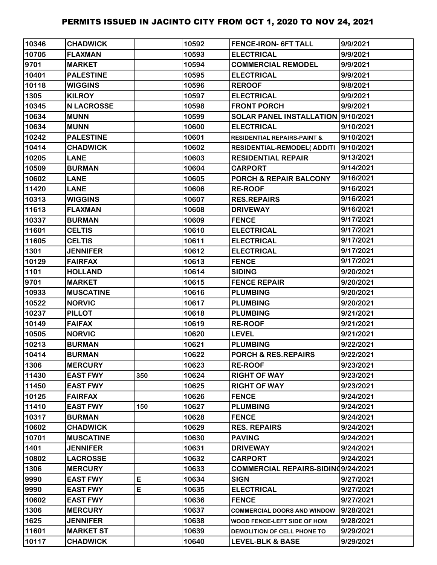| 10346 | <b>CHADWICK</b>   |     | 10592 | <b>FENCE-IRON- 6FT TALL</b>            | 9/9/2021  |
|-------|-------------------|-----|-------|----------------------------------------|-----------|
| 10705 | <b>FLAXMAN</b>    |     | 10593 | <b>ELECTRICAL</b>                      | 9/9/2021  |
| 9701  | <b>MARKET</b>     |     | 10594 | <b>COMMERCIAL REMODEL</b>              | 9/9/2021  |
| 10401 | <b>PALESTINE</b>  |     | 10595 | <b>ELECTRICAL</b>                      | 9/9/2021  |
| 10118 | <b>WIGGINS</b>    |     | 10596 | <b>REROOF</b>                          | 9/8/2021  |
| 1305  | <b>KILROY</b>     |     | 10597 | <b>ELECTRICAL</b>                      | 9/9/2021  |
| 10345 | <b>N LACROSSE</b> |     | 10598 | <b>FRONT PORCH</b>                     | 9/9/2021  |
| 10634 | <b>MUNN</b>       |     | 10599 | SOLAR PANEL INSTALLATION  9/10/2021    |           |
| 10634 | <b>MUNN</b>       |     | 10600 | <b>ELECTRICAL</b>                      | 9/10/2021 |
| 10242 | <b>PALESTINE</b>  |     | 10601 | <b>RESIDENTIAL REPAIRS-PAINT &amp;</b> | 9/10/2021 |
| 10414 | <b>CHADWICK</b>   |     | 10602 | RESIDENTIAL-REMODEL(ADDITI             | 9/10/2021 |
| 10205 | <b>LANE</b>       |     | 10603 | <b>RESIDENTIAL REPAIR</b>              | 9/13/2021 |
| 10509 | <b>BURMAN</b>     |     | 10604 | <b>CARPORT</b>                         | 9/14/2021 |
| 10602 | <b>LANE</b>       |     | 10605 | <b>PORCH &amp; REPAIR BALCONY</b>      | 9/16/2021 |
| 11420 | <b>LANE</b>       |     | 10606 | <b>RE-ROOF</b>                         | 9/16/2021 |
| 10313 | <b>WIGGINS</b>    |     | 10607 | <b>RES.REPAIRS</b>                     | 9/16/2021 |
| 11613 | <b>FLAXMAN</b>    |     | 10608 | <b>DRIVEWAY</b>                        | 9/16/2021 |
| 10337 | <b>BURMAN</b>     |     | 10609 | <b>FENCE</b>                           | 9/17/2021 |
| 11601 | <b>CELTIS</b>     |     | 10610 | <b>ELECTRICAL</b>                      | 9/17/2021 |
| 11605 | <b>CELTIS</b>     |     | 10611 | <b>ELECTRICAL</b>                      | 9/17/2021 |
| 1301  | <b>JENNIFER</b>   |     | 10612 | <b>ELECTRICAL</b>                      | 9/17/2021 |
| 10129 | <b>FAIRFAX</b>    |     | 10613 | <b>FENCE</b>                           | 9/17/2021 |
| 1101  | <b>HOLLAND</b>    |     | 10614 | <b>SIDING</b>                          | 9/20/2021 |
| 9701  | <b>MARKET</b>     |     | 10615 | <b>FENCE REPAIR</b>                    | 9/20/2021 |
| 10933 | <b>MUSCATINE</b>  |     | 10616 | <b>PLUMBING</b>                        | 9/20/2021 |
| 10522 | <b>NORVIC</b>     |     | 10617 | <b>PLUMBING</b>                        | 9/20/2021 |
| 10237 | <b>PILLOT</b>     |     | 10618 | <b>PLUMBING</b>                        | 9/21/2021 |
| 10149 | <b>FAIFAX</b>     |     | 10619 | <b>RE-ROOF</b>                         | 9/21/2021 |
| 10505 | <b>NORVIC</b>     |     | 10620 | <b>LEVEL</b>                           | 9/21/2021 |
| 10213 | <b>BURMAN</b>     |     | 10621 | <b>PLUMBING</b>                        | 9/22/2021 |
| 10414 | <b>BURMAN</b>     |     | 10622 | PORCH & RES.REPAIRS                    | 9/22/2021 |
| 1306  | <b>MERCURY</b>    |     | 10623 | <b>RE-ROOF</b>                         | 9/23/2021 |
| 11430 | <b>EAST FWY</b>   | 350 | 10624 | <b>RIGHT OF WAY</b>                    | 9/23/2021 |
| 11450 | <b>EAST FWY</b>   |     | 10625 | <b>RIGHT OF WAY</b>                    | 9/23/2021 |
| 10125 | <b>FAIRFAX</b>    |     | 10626 | <b>FENCE</b>                           | 9/24/2021 |
| 11410 | <b>EAST FWY</b>   | 150 | 10627 | <b>PLUMBING</b>                        | 9/24/2021 |
| 10317 | <b>BURMAN</b>     |     | 10628 | <b>FENCE</b>                           | 9/24/2021 |
| 10602 | <b>CHADWICK</b>   |     | 10629 | <b>RES. REPAIRS</b>                    | 9/24/2021 |
| 10701 | <b>MUSCATINE</b>  |     | 10630 | <b>PAVING</b>                          | 9/24/2021 |
| 1401  | <b>JENNIFER</b>   |     | 10631 | <b>DRIVEWAY</b>                        | 9/24/2021 |
| 10802 | <b>LACROSSE</b>   |     | 10632 | <b>CARPORT</b>                         | 9/24/2021 |
| 1306  | <b>MERCURY</b>    |     | 10633 | COMMERCIAL REPAIRS-SIDINQ9/24/2021     |           |
| 9990  | <b>EAST FWY</b>   | E   | 10634 | <b>SIGN</b>                            | 9/27/2021 |
| 9990  | <b>EAST FWY</b>   | E   | 10635 | <b>ELECTRICAL</b>                      | 9/27/2021 |
| 10602 | <b>EAST FWY</b>   |     | 10636 | <b>FENCE</b>                           | 9/27/2021 |
| 1306  | <b>MERCURY</b>    |     | 10637 | <b>COMMERCIAL DOORS AND WINDOW</b>     | 9/28/2021 |
| 1625  | <b>JENNIFER</b>   |     | 10638 | WOOD FENCE-LEFT SIDE OF HOM            | 9/28/2021 |
| 11601 | <b>MARKET ST</b>  |     | 10639 | DEMOLITION OF CELL PHONE TO            | 9/29/2021 |
| 10117 | <b>CHADWICK</b>   |     | 10640 | <b>LEVEL-BLK &amp; BASE</b>            | 9/29/2021 |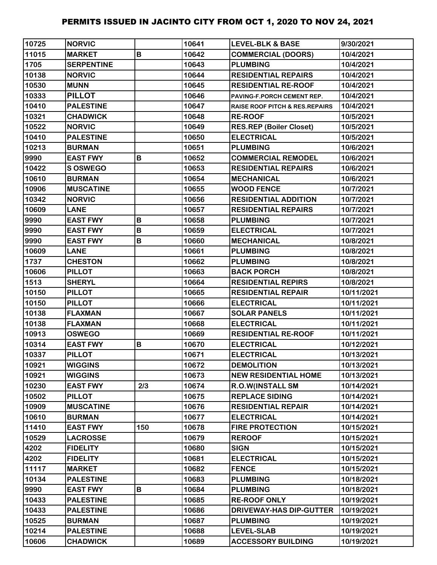| 10725 | <b>NORVIC</b>     |     | 10641 | <b>LEVEL-BLK &amp; BASE</b>               | 9/30/2021  |
|-------|-------------------|-----|-------|-------------------------------------------|------------|
| 11015 | <b>MARKET</b>     | B   | 10642 | <b>COMMERCIAL (DOORS)</b>                 | 10/4/2021  |
| 1705  | <b>SERPENTINE</b> |     | 10643 | <b>PLUMBING</b>                           | 10/4/2021  |
| 10138 | <b>NORVIC</b>     |     | 10644 | <b>RESIDENTIAL REPAIRS</b>                | 10/4/2021  |
| 10530 | <b>MUNN</b>       |     | 10645 | <b>RESIDENTIAL RE-ROOF</b>                | 10/4/2021  |
| 10333 | <b>PILLOT</b>     |     | 10646 | PAVING-F.PORCH CEMENT REP.                | 10/4/2021  |
| 10410 | <b>PALESTINE</b>  |     | 10647 | <b>RAISE ROOF PITCH &amp; RES.REPAIRS</b> | 10/4/2021  |
| 10321 | <b>CHADWICK</b>   |     | 10648 | <b>RE-ROOF</b>                            | 10/5/2021  |
| 10522 | <b>NORVIC</b>     |     | 10649 | <b>RES.REP (Boiler Closet)</b>            | 10/5/2021  |
| 10410 | <b>PALESTINE</b>  |     | 10650 | <b>ELECTRICAL</b>                         | 10/5/2021  |
| 10213 | <b>BURMAN</b>     |     | 10651 | <b>PLUMBING</b>                           | 10/6/2021  |
| 9990  | <b>EAST FWY</b>   | B   | 10652 | <b>COMMERCIAL REMODEL</b>                 | 10/6/2021  |
| 10422 | <b>S OSWEGO</b>   |     | 10653 | <b>RESIDENTIAL REPAIRS</b>                | 10/6/2021  |
| 10610 | <b>BURMAN</b>     |     | 10654 | <b>MECHANICAL</b>                         | 10/6/2021  |
| 10906 | <b>MUSCATINE</b>  |     | 10655 | <b>WOOD FENCE</b>                         | 10/7/2021  |
| 10342 | <b>NORVIC</b>     |     | 10656 | <b>RESIDENTIAL ADDITION</b>               | 10/7/2021  |
| 10609 | <b>LANE</b>       |     | 10657 | <b>RESIDENTIAL REPAIRS</b>                | 10/7/2021  |
| 9990  | <b>EAST FWY</b>   | B   | 10658 | <b>PLUMBING</b>                           | 10/7/2021  |
| 9990  | <b>EAST FWY</b>   | B   | 10659 | <b>ELECTRICAL</b>                         | 10/7/2021  |
| 9990  | <b>EAST FWY</b>   | B   | 10660 | <b>MECHANICAL</b>                         | 10/8/2021  |
| 10609 | <b>LANE</b>       |     | 10661 | <b>PLUMBING</b>                           | 10/8/2021  |
| 1737  | <b>CHESTON</b>    |     | 10662 | <b>PLUMBING</b>                           | 10/8/2021  |
| 10606 | <b>PILLOT</b>     |     | 10663 | <b>BACK PORCH</b>                         | 10/8/2021  |
| 1513  | <b>SHERYL</b>     |     | 10664 | <b>RESIDENTIAL REPIRS</b>                 | 10/8/2021  |
| 10150 | <b>PILLOT</b>     |     | 10665 | <b>RESIDENTIAL REPAIR</b>                 | 10/11/2021 |
| 10150 | <b>PILLOT</b>     |     | 10666 | <b>ELECTRICAL</b>                         | 10/11/2021 |
| 10138 | <b>FLAXMAN</b>    |     | 10667 | <b>SOLAR PANELS</b>                       | 10/11/2021 |
| 10138 | <b>FLAXMAN</b>    |     | 10668 | <b>ELECTRICAL</b>                         | 10/11/2021 |
| 10913 | <b>OSWEGO</b>     |     | 10669 | <b>RESIDENTIAL RE-ROOF</b>                | 10/11/2021 |
| 10314 | <b>EAST FWY</b>   | B   | 10670 | <b>ELECTRICAL</b>                         | 10/12/2021 |
| 10337 | <b>PILLOT</b>     |     | 10671 | <b>ELECTRICAL</b>                         | 10/13/2021 |
| 10921 | <b>WIGGINS</b>    |     | 10672 | <b>DEMOLITION</b>                         | 10/13/2021 |
| 10921 | <b>WIGGINS</b>    |     | 10673 | <b>NEW RESIDENTIAL HOME</b>               | 10/13/2021 |
| 10230 | <b>EAST FWY</b>   | 2/3 | 10674 | <b>R.O.W(INSTALL SM</b>                   | 10/14/2021 |
| 10502 | <b>PILLOT</b>     |     | 10675 | <b>REPLACE SIDING</b>                     | 10/14/2021 |
| 10909 | <b>MUSCATINE</b>  |     | 10676 | <b>RESIDENTIAL REPAIR</b>                 | 10/14/2021 |
| 10610 | <b>BURMAN</b>     |     | 10677 | <b>ELECTRICAL</b>                         | 10/14/2021 |
| 11410 | <b>EAST FWY</b>   | 150 | 10678 | <b>FIRE PROTECTION</b>                    | 10/15/2021 |
| 10529 | <b>LACROSSE</b>   |     | 10679 | <b>REROOF</b>                             | 10/15/2021 |
| 4202  | <b>FIDELITY</b>   |     | 10680 | <b>SIGN</b>                               | 10/15/2021 |
| 4202  | <b>FIDELITY</b>   |     | 10681 | <b>ELECTRICAL</b>                         | 10/15/2021 |
| 11117 | <b>MARKET</b>     |     | 10682 | <b>FENCE</b>                              | 10/15/2021 |
| 10134 | <b>PALESTINE</b>  |     | 10683 | <b>PLUMBING</b>                           | 10/18/2021 |
| 9990  | <b>EAST FWY</b>   | B   | 10684 | <b>PLUMBING</b>                           | 10/18/2021 |
| 10433 | <b>PALESTINE</b>  |     | 10685 | <b>RE-ROOF ONLY</b>                       | 10/19/2021 |
| 10433 | <b>PALESTINE</b>  |     | 10686 | <b>DRIVEWAY-HAS DIP-GUTTER</b>            | 10/19/2021 |
| 10525 | <b>BURMAN</b>     |     | 10687 | <b>PLUMBING</b>                           | 10/19/2021 |
| 10214 | <b>PALESTINE</b>  |     | 10688 | <b>LEVEL-SLAB</b>                         | 10/19/2021 |
| 10606 | <b>CHADWICK</b>   |     | 10689 | <b>ACCESSORY BUILDING</b>                 | 10/19/2021 |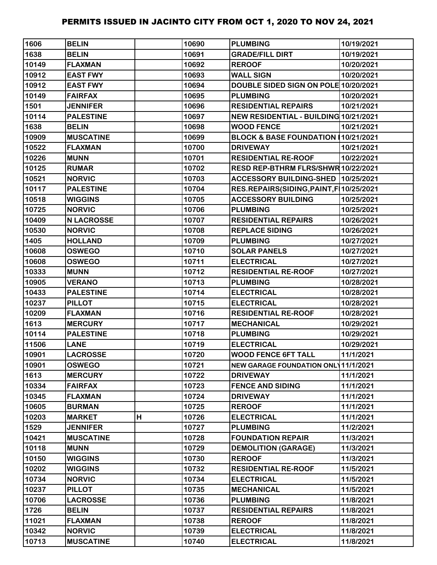| 1606  | <b>BELIN</b>      |   | 10690 | <b>PLUMBING</b>                            | 10/19/2021 |
|-------|-------------------|---|-------|--------------------------------------------|------------|
| 1638  | <b>BELIN</b>      |   | 10691 | <b>GRADE/FILL DIRT</b>                     | 10/19/2021 |
| 10149 | <b>FLAXMAN</b>    |   | 10692 | <b>REROOF</b>                              | 10/20/2021 |
| 10912 | <b>EAST FWY</b>   |   | 10693 | <b>WALL SIGN</b>                           | 10/20/2021 |
| 10912 | <b>EAST FWY</b>   |   | 10694 | DOUBLE SIDED SIGN ON POLE 10/20/2021       |            |
| 10149 | <b>FAIRFAX</b>    |   | 10695 | <b>PLUMBING</b>                            | 10/20/2021 |
| 1501  | <b>JENNIFER</b>   |   | 10696 | <b>RESIDENTIAL REPAIRS</b>                 | 10/21/2021 |
| 10114 | <b>PALESTINE</b>  |   | 10697 | NEW RESIDENTIAL - BUILDING 10/21/2021      |            |
| 1638  | <b>BELIN</b>      |   | 10698 | <b>WOOD FENCE</b>                          | 10/21/2021 |
| 10909 | <b>MUSCATINE</b>  |   | 10699 | BLOCK & BASE FOUNDATION 10/21/2021         |            |
| 10522 | <b>FLAXMAN</b>    |   | 10700 | <b>DRIVEWAY</b>                            | 10/21/2021 |
| 10226 | <b>MUNN</b>       |   | 10701 | <b>RESIDENTIAL RE-ROOF</b>                 | 10/22/2021 |
| 10125 | <b>RUMAR</b>      |   | 10702 | RESD REP-BTHRM FLRS/SHWR 10/22/2021        |            |
| 10521 | <b>NORVIC</b>     |   | 10703 | ACCESSORY BUILDING-SHED 10/25/2021         |            |
| 10117 | <b>PALESTINE</b>  |   | 10704 | RES.REPAIRS(SIDING,PAINT,F 10/25/2021      |            |
| 10518 | <b>WIGGINS</b>    |   | 10705 | <b>ACCESSORY BUILDING</b>                  | 10/25/2021 |
| 10725 | <b>NORVIC</b>     |   | 10706 | <b>PLUMBING</b>                            | 10/25/2021 |
| 10409 | <b>N LACROSSE</b> |   | 10707 | <b>RESIDENTIAL REPAIRS</b>                 | 10/26/2021 |
| 10530 | <b>NORVIC</b>     |   | 10708 | <b>REPLACE SIDING</b>                      | 10/26/2021 |
| 1405  | <b>HOLLAND</b>    |   | 10709 | <b>PLUMBING</b>                            | 10/27/2021 |
| 10608 | <b>OSWEGO</b>     |   | 10710 | <b>SOLAR PANELS</b>                        | 10/27/2021 |
| 10608 | <b>OSWEGO</b>     |   | 10711 | <b>ELECTRICAL</b>                          | 10/27/2021 |
| 10333 | <b>MUNN</b>       |   | 10712 | <b>RESIDENTIAL RE-ROOF</b>                 | 10/27/2021 |
| 10905 | <b>VERANO</b>     |   | 10713 | <b>PLUMBING</b>                            | 10/28/2021 |
| 10433 | <b>PALESTINE</b>  |   | 10714 | <b>ELECTRICAL</b>                          | 10/28/2021 |
| 10237 | <b>PILLOT</b>     |   | 10715 | <b>ELECTRICAL</b>                          | 10/28/2021 |
| 10209 | <b>FLAXMAN</b>    |   | 10716 | <b>RESIDENTIAL RE-ROOF</b>                 | 10/28/2021 |
| 1613  | <b>MERCURY</b>    |   | 10717 | <b>MECHANICAL</b>                          | 10/29/2021 |
| 10114 | <b>PALESTINE</b>  |   | 10718 | <b>PLUMBING</b>                            | 10/29/2021 |
| 11506 | <b>LANE</b>       |   | 10719 | <b>ELECTRICAL</b>                          | 10/29/2021 |
| 10901 | <b>LACROSSE</b>   |   | 10720 | <b>WOOD FENCE 6FT TALL</b>                 | 11/1/2021  |
| 10901 | <b>OSWEGO</b>     |   | 10721 | <b>NEW GARAGE FOUNDATION ONL 11/1/2021</b> |            |
| 1613  | <b>MERCURY</b>    |   | 10722 | <b>DRIVEWAY</b>                            | 11/1/2021  |
| 10334 | <b>FAIRFAX</b>    |   | 10723 | <b>FENCE AND SIDING</b>                    | 11/1/2021  |
| 10345 | <b>FLAXMAN</b>    |   | 10724 | <b>DRIVEWAY</b>                            | 11/1/2021  |
| 10605 | <b>BURMAN</b>     |   | 10725 | <b>REROOF</b>                              | 11/1/2021  |
| 10203 | <b>MARKET</b>     | H | 10726 | <b>ELECTRICAL</b>                          | 11/1/2021  |
| 1529  | <b>JENNIFER</b>   |   | 10727 | <b>PLUMBING</b>                            | 11/2/2021  |
| 10421 | <b>MUSCATINE</b>  |   | 10728 | <b>FOUNDATION REPAIR</b>                   | 11/3/2021  |
| 10118 | <b>MUNN</b>       |   | 10729 | <b>DEMOLITION (GARAGE)</b>                 | 11/3/2021  |
| 10150 | <b>WIGGINS</b>    |   | 10730 | <b>REROOF</b>                              | 11/3/2021  |
| 10202 | <b>WIGGINS</b>    |   | 10732 | <b>RESIDENTIAL RE-ROOF</b>                 | 11/5/2021  |
| 10734 | <b>NORVIC</b>     |   | 10734 | <b>ELECTRICAL</b>                          | 11/5/2021  |
| 10237 | <b>PILLOT</b>     |   | 10735 | <b>MECHANICAL</b>                          | 11/5/2021  |
| 10706 | <b>LACROSSE</b>   |   | 10736 | <b>PLUMBING</b>                            | 11/8/2021  |
| 1726  | <b>BELIN</b>      |   | 10737 | <b>RESIDENTIAL REPAIRS</b>                 | 11/8/2021  |
| 11021 | <b>FLAXMAN</b>    |   | 10738 | <b>REROOF</b>                              | 11/8/2021  |
| 10342 | <b>NORVIC</b>     |   | 10739 | <b>ELECTRICAL</b>                          | 11/8/2021  |
| 10713 | <b>MUSCATINE</b>  |   | 10740 | <b>ELECTRICAL</b>                          | 11/8/2021  |